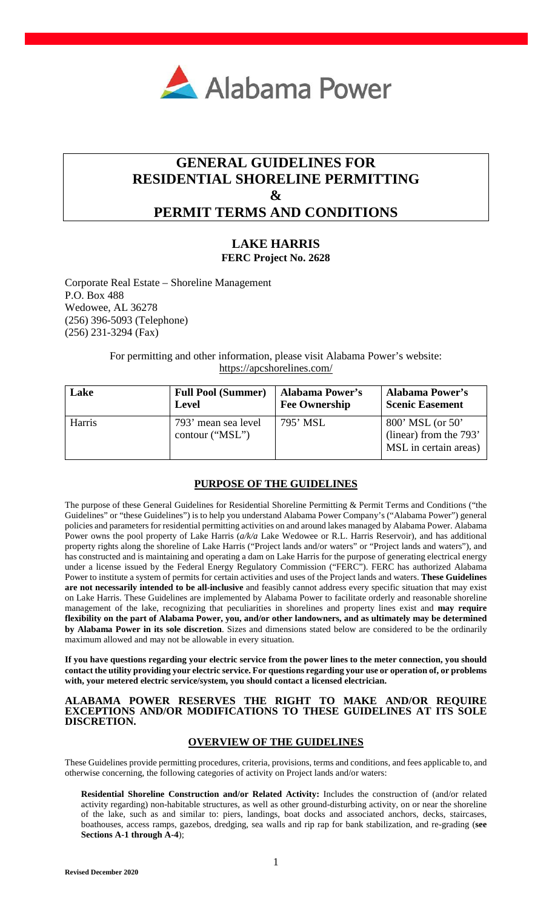

# **GENERAL GUIDELINES FOR RESIDENTIAL SHORELINE PERMITTING**   $\mathcal{X}$ **PERMIT TERMS AND CONDITIONS**

# **LAKE HARRIS**

**FERC Project No. 2628** 

Corporate Real Estate – Shoreline Management P.O. Box 488 Wedowee, AL 36278 (256) 396-5093 (Telephone) (256) 231-3294 (Fax)

> For permitting and other information, please visit Alabama Power's website: <https://apcshorelines.com/>

| Lake   | <b>Full Pool (Summer)</b>              | <b>Alabama Power's</b> | <b>Alabama Power's</b>                                              |
|--------|----------------------------------------|------------------------|---------------------------------------------------------------------|
|        | <b>Level</b>                           | <b>Fee Ownership</b>   | <b>Scenic Easement</b>                                              |
| Harris | 793' mean sea level<br>contour ("MSL") | 795' MSL               | 800' MSL (or 50'<br>(linear) from the 793'<br>MSL in certain areas) |

# **PURPOSE OF THE GUIDELINES**

The purpose of these General Guidelines for Residential Shoreline Permitting & Permit Terms and Conditions ("the Guidelines" or "these Guidelines") is to help you understand Alabama Power Company's ("Alabama Power") general policies and parameters for residential permitting activities on and around lakes managed by Alabama Power. Alabama Power owns the pool property of Lake Harris (*a/k/a* Lake Wedowee or R.L. Harris Reservoir), and has additional property rights along the shoreline of Lake Harris ("Project lands and/or waters" or "Project lands and waters"), and has constructed and is maintaining and operating a dam on Lake Harris for the purpose of generating electrical energy under a license issued by the Federal Energy Regulatory Commission ("FERC"). FERC has authorized Alabama Power to institute a system of permits for certain activities and uses of the Project lands and waters. **These Guidelines are not necessarily intended to be all-inclusive** and feasibly cannot address every specific situation that may exist on Lake Harris. These Guidelines are implemented by Alabama Power to facilitate orderly and reasonable shoreline management of the lake, recognizing that peculiarities in shorelines and property lines exist and **may require flexibility on the part of Alabama Power, you, and/or other landowners, and as ultimately may be determined by Alabama Power in its sole discretion**. Sizes and dimensions stated below are considered to be the ordinarily maximum allowed and may not be allowable in every situation.

**If you have questions regarding your electric service from the power lines to the meter connection, you should contact the utility providing your electric service. For questions regarding your use or operation of, or problems with, your metered electric service/system, you should contact a licensed electrician.** 

### **ALABAMA POWER RESERVES THE RIGHT TO MAKE AND/OR REQUIRE EXCEPTIONS AND/OR MODIFICATIONS TO THESE GUIDELINES AT ITS SOLE DISCRETION.**

# **OVERVIEW OF THE GUIDELINES**

These Guidelines provide permitting procedures, criteria, provisions, terms and conditions, and fees applicable to, and otherwise concerning, the following categories of activity on Project lands and/or waters:

**Residential Shoreline Construction and/or Related Activity:** Includes the construction of (and/or related activity regarding) non-habitable structures, as well as other ground-disturbing activity, on or near the shoreline of the lake, such as and similar to: piers, landings, boat docks and associated anchors, decks, staircases, boathouses, access ramps, gazebos, dredging, sea walls and rip rap for bank stabilization, and re-grading (**see Sections A-1 through A-4**);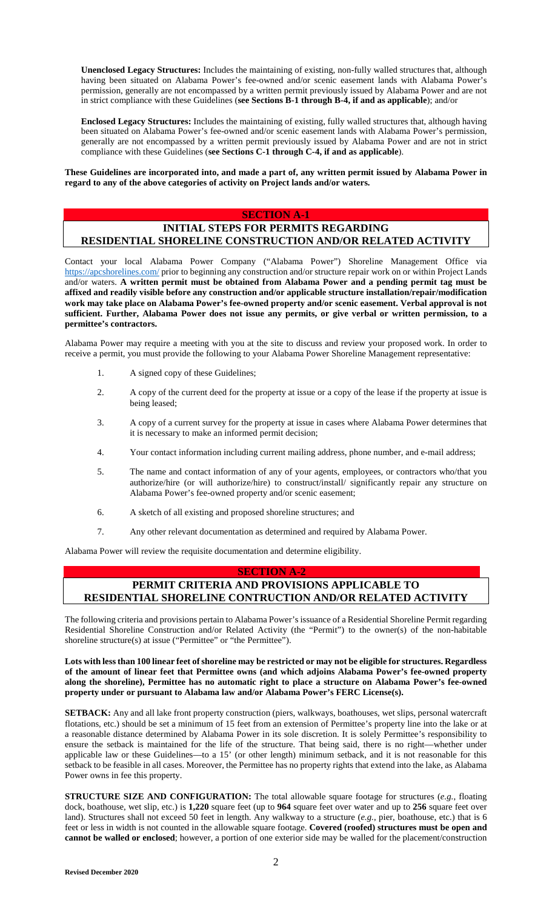**Unenclosed Legacy Structures:** Includes the maintaining of existing, non-fully walled structures that, although having been situated on Alabama Power's fee-owned and/or scenic easement lands with Alabama Power's permission, generally are not encompassed by a written permit previously issued by Alabama Power and are not in strict compliance with these Guidelines (**see Sections B-1 through B-4, if and as applicable**); and/or

**Enclosed Legacy Structures:** Includes the maintaining of existing, fully walled structures that, although having been situated on Alabama Power's fee-owned and/or scenic easement lands with Alabama Power's permission, generally are not encompassed by a written permit previously issued by Alabama Power and are not in strict compliance with these Guidelines (**see Sections C-1 through C-4, if and as applicable**).

**These Guidelines are incorporated into, and made a part of, any written permit issued by Alabama Power in regard to any of the above categories of activity on Project lands and/or waters.** 

### **SECTION A-1**

# **INITIAL STEPS FOR PERMITS REGARDING RESIDENTIAL SHORELINE CONSTRUCTION AND/OR RELATED ACTIVITY**

[Contact your local Ala](https://apcshorelines.com/)bama Power Company ("Alabama Power") Shoreline Management Office via https://apcshorelines.com/ prior to beginning any construction and/or structure repair work on or within Project Lands and/or waters. **A written permit must be obtained from Alabama Power and a pending permit tag must be affixed and readily visible before any construction and/or applicable structure installation/repair/modification work may take place on Alabama Power's fee-owned property and/or scenic easement. Verbal approval is not sufficient. Further, Alabama Power does not issue any permits, or give verbal or written permission, to a permittee's contractors.**

Alabama Power may require a meeting with you at the site to discuss and review your proposed work. In order to receive a permit, you must provide the following to your Alabama Power Shoreline Management representative:

- 1. A signed copy of these Guidelines;
- 2. A copy of the current deed for the property at issue or a copy of the lease if the property at issue is being leased;
- 3. A copy of a current survey for the property at issue in cases where Alabama Power determines that it is necessary to make an informed permit decision;
- 4. Your contact information including current mailing address, phone number, and e-mail address;
- 5. The name and contact information of any of your agents, employees, or contractors who/that you authorize/hire (or will authorize/hire) to construct/install/ significantly repair any structure on Alabama Power's fee-owned property and/or scenic easement;
- 6. A sketch of all existing and proposed shoreline structures; and
- 7. Any other relevant documentation as determined and required by Alabama Power.

Alabama Power will review the requisite documentation and determine eligibility.

### **SECTION A-2**

# **PERMIT CRITERIA AND PROVISIONS APPLICABLE TO RESIDENTIAL SHORELINE CONTRUCTION AND/OR RELATED ACTIVITY**

The following criteria and provisions pertain to Alabama Power's issuance of a Residential Shoreline Permit regarding Residential Shoreline Construction and/or Related Activity (the "Permit") to the owner(s) of the non-habitable shoreline structure(s) at issue ("Permittee" or "the Permittee").

**Lots with less than 100 linear feet of shoreline may be restricted or may not be eligible for structures. Regardless of the amount of linear feet that Permittee owns (and which adjoins Alabama Power's fee-owned property along the shoreline), Permittee has no automatic right to place a structure on Alabama Power's fee-owned property under or pursuant to Alabama law and/or Alabama Power's FERC License(s).**

**SETBACK:** Any and all lake front property construction (piers, walkways, boathouses, wet slips, personal watercraft flotations, etc.) should be set a minimum of 15 feet from an extension of Permittee's property line into the lake or at a reasonable distance determined by Alabama Power in its sole discretion. It is solely Permittee's responsibility to ensure the setback is maintained for the life of the structure. That being said, there is no right—whether under applicable law or these Guidelines—to a 15' (or other length) minimum setback, and it is not reasonable for this setback to be feasible in all cases. Moreover, the Permittee has no property rights that extend into the lake, as Alabama Power owns in fee this property.

**STRUCTURE SIZE AND CONFIGURATION:** The total allowable square footage for structures (*e.g.*, floating dock, boathouse, wet slip, etc.) is **1,220** square feet (up to **964** square feet over water and up to **256** square feet over land). Structures shall not exceed 50 feet in length. Any walkway to a structure (*e.g.*, pier, boathouse, etc.) that is 6 feet or less in width is not counted in the allowable square footage. **Covered (roofed) structures must be open and cannot be walled or enclosed**; however, a portion of one exterior side may be walled for the placement/construction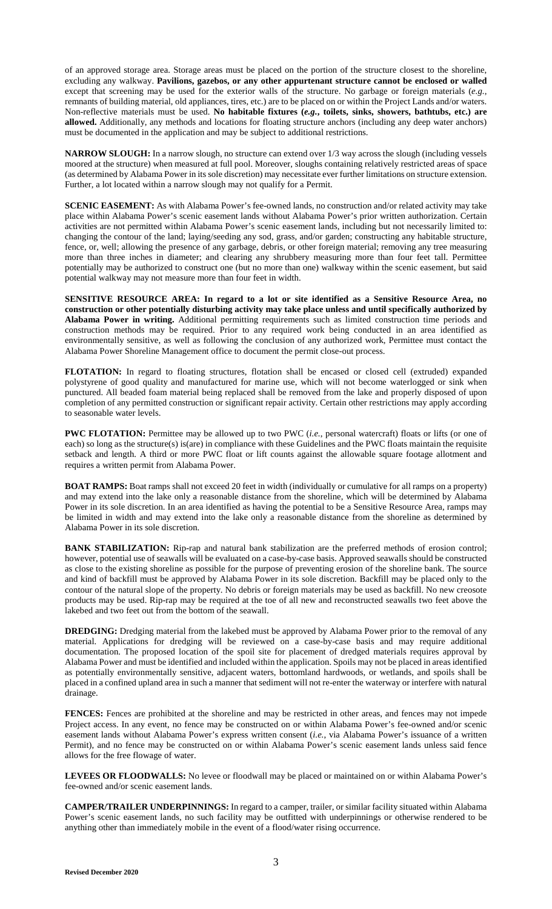of an approved storage area. Storage areas must be placed on the portion of the structure closest to the shoreline, excluding any walkway. **Pavilions, gazebos, or any other appurtenant structure cannot be enclosed or walled** except that screening may be used for the exterior walls of the structure. No garbage or foreign materials (*e.g.*, remnants of building material, old appliances, tires, etc.) are to be placed on or within the Project Lands and/or waters. Non-reflective materials must be used. **No habitable fixtures (***e.g.***, toilets, sinks, showers, bathtubs, etc.) are allowed.** Additionally, any methods and locations for floating structure anchors (including any deep water anchors) must be documented in the application and may be subject to additional restrictions.

**NARROW SLOUGH:** In a narrow slough, no structure can extend over 1/3 way across the slough (including vessels moored at the structure) when measured at full pool. Moreover, sloughs containing relatively restricted areas of space (as determined by Alabama Power in its sole discretion) may necessitate ever further limitations on structure extension. Further, a lot located within a narrow slough may not qualify for a Permit.

**SCENIC EASEMENT:** As with Alabama Power's fee-owned lands, no construction and/or related activity may take place within Alabama Power's scenic easement lands without Alabama Power's prior written authorization. Certain activities are not permitted within Alabama Power's scenic easement lands, including but not necessarily limited to: changing the contour of the land; laying/seeding any sod, grass, and/or garden; constructing any habitable structure, fence, or, well; allowing the presence of any garbage, debris, or other foreign material; removing any tree measuring more than three inches in diameter; and clearing any shrubbery measuring more than four feet tall. Permittee potentially may be authorized to construct one (but no more than one) walkway within the scenic easement, but said potential walkway may not measure more than four feet in width.

**SENSITIVE RESOURCE AREA: In regard to a lot or site identified as a Sensitive Resource Area, no construction or other potentially disturbing activity may take place unless and until specifically authorized by Alabama Power in writing.** Additional permitting requirements such as limited construction time periods and construction methods may be required. Prior to any required work being conducted in an area identified as environmentally sensitive, as well as following the conclusion of any authorized work, Permittee must contact the Alabama Power Shoreline Management office to document the permit close-out process.

**FLOTATION:** In regard to floating structures, flotation shall be encased or closed cell (extruded) expanded polystyrene of good quality and manufactured for marine use, which will not become waterlogged or sink when punctured. All beaded foam material being replaced shall be removed from the lake and properly disposed of upon completion of any permitted construction or significant repair activity. Certain other restrictions may apply according to seasonable water levels.

**PWC FLOTATION:** Permittee may be allowed up to two PWC (*i.e.*, personal watercraft) floats or lifts (or one of each) so long as the structure(s) is(are) in compliance with these Guidelines and the PWC floats maintain the requisite setback and length. A third or more PWC float or lift counts against the allowable square footage allotment and requires a written permit from Alabama Power.

**BOAT RAMPS:** Boat ramps shall not exceed 20 feet in width (individually or cumulative for all ramps on a property) and may extend into the lake only a reasonable distance from the shoreline, which will be determined by Alabama Power in its sole discretion. In an area identified as having the potential to be a Sensitive Resource Area, ramps may be limited in width and may extend into the lake only a reasonable distance from the shoreline as determined by Alabama Power in its sole discretion.

**BANK STABILIZATION:** Rip-rap and natural bank stabilization are the preferred methods of erosion control; however, potential use of seawalls will be evaluated on a case-by-case basis. Approved seawalls should be constructed as close to the existing shoreline as possible for the purpose of preventing erosion of the shoreline bank. The source and kind of backfill must be approved by Alabama Power in its sole discretion. Backfill may be placed only to the contour of the natural slope of the property. No debris or foreign materials may be used as backfill. No new creosote products may be used. Rip-rap may be required at the toe of all new and reconstructed seawalls two feet above the lakebed and two feet out from the bottom of the seawall.

**DREDGING:** Dredging material from the lakebed must be approved by Alabama Power prior to the removal of any material. Applications for dredging will be reviewed on a case-by-case basis and may require additional documentation. The proposed location of the spoil site for placement of dredged materials requires approval by Alabama Power and must be identified and included within the application. Spoils may not be placed in areas identified as potentially environmentally sensitive, adjacent waters, bottomland hardwoods, or wetlands, and spoils shall be placed in a confined upland area in such a manner that sediment will not re-enter the waterway or interfere with natural drainage.

**FENCES:** Fences are prohibited at the shoreline and may be restricted in other areas, and fences may not impede Project access. In any event, no fence may be constructed on or within Alabama Power's fee-owned and/or scenic easement lands without Alabama Power's express written consent (*i.e.*, via Alabama Power's issuance of a written Permit), and no fence may be constructed on or within Alabama Power's scenic easement lands unless said fence allows for the free flowage of water.

**LEVEES OR FLOODWALLS:** No levee or floodwall may be placed or maintained on or within Alabama Power's fee-owned and/or scenic easement lands.

**CAMPER/TRAILER UNDERPINNINGS:** In regard to a camper, trailer, or similar facility situated within Alabama Power's scenic easement lands, no such facility may be outfitted with underpinnings or otherwise rendered to be anything other than immediately mobile in the event of a flood/water rising occurrence.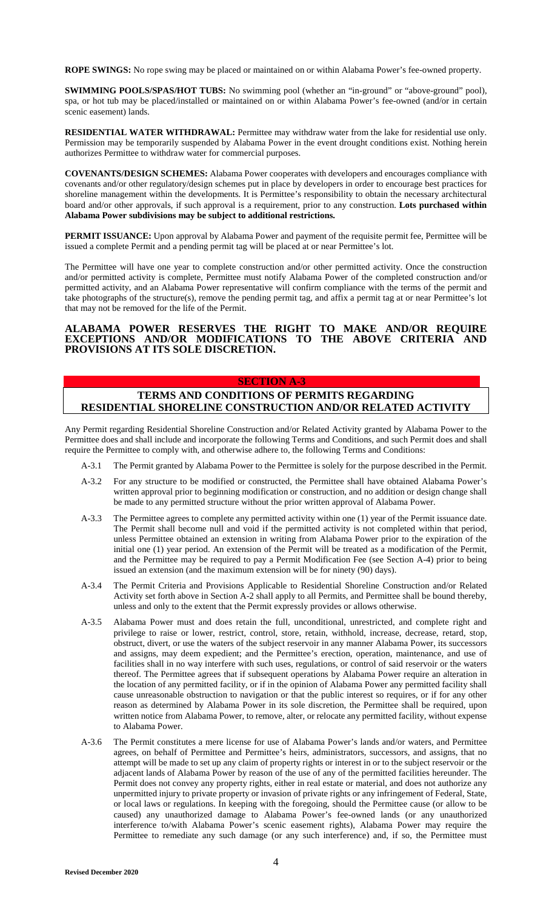**ROPE SWINGS:** No rope swing may be placed or maintained on or within Alabama Power's fee-owned property.

**SWIMMING POOLS/SPAS/HOT TUBS:** No swimming pool (whether an "in-ground" or "above-ground" pool), spa, or hot tub may be placed/installed or maintained on or within Alabama Power's fee-owned (and/or in certain scenic easement) lands.

**RESIDENTIAL WATER WITHDRAWAL:** Permittee may withdraw water from the lake for residential use only. Permission may be temporarily suspended by Alabama Power in the event drought conditions exist. Nothing herein authorizes Permittee to withdraw water for commercial purposes.

**COVENANTS/DESIGN SCHEMES:** Alabama Power cooperates with developers and encourages compliance with covenants and/or other regulatory/design schemes put in place by developers in order to encourage best practices for shoreline management within the developments. It is Permittee's responsibility to obtain the necessary architectural board and/or other approvals, if such approval is a requirement, prior to any construction. **Lots purchased within Alabama Power subdivisions may be subject to additional restrictions.**

**PERMIT ISSUANCE:** Upon approval by Alabama Power and payment of the requisite permit fee, Permittee will be issued a complete Permit and a pending permit tag will be placed at or near Permittee's lot.

The Permittee will have one year to complete construction and/or other permitted activity. Once the construction and/or permitted activity is complete, Permittee must notify Alabama Power of the completed construction and/or permitted activity, and an Alabama Power representative will confirm compliance with the terms of the permit and take photographs of the structure(s), remove the pending permit tag, and affix a permit tag at or near Permittee's lot that may not be removed for the life of the Permit.

### **ALABAMA POWER RESERVES THE RIGHT TO MAKE AND/OR REQUIRE EXCEPTIONS AND/OR MODIFICATIONS TO THE ABOVE CRITERIA AND PROVISIONS AT ITS SOLE DISCRETION.**

### **SECTION A-3**

# **TERMS AND CONDITIONS OF PERMITS REGARDING RESIDENTIAL SHORELINE CONSTRUCTION AND/OR RELATED ACTIVITY**

Any Permit regarding Residential Shoreline Construction and/or Related Activity granted by Alabama Power to the Permittee does and shall include and incorporate the following Terms and Conditions, and such Permit does and shall require the Permittee to comply with, and otherwise adhere to, the following Terms and Conditions:

- A-3.1 The Permit granted by Alabama Power to the Permittee is solely for the purpose described in the Permit.
- A-3.2 For any structure to be modified or constructed, the Permittee shall have obtained Alabama Power's written approval prior to beginning modification or construction, and no addition or design change shall be made to any permitted structure without the prior written approval of Alabama Power.
- A-3.3 The Permittee agrees to complete any permitted activity within one (1) year of the Permit issuance date. The Permit shall become null and void if the permitted activity is not completed within that period, unless Permittee obtained an extension in writing from Alabama Power prior to the expiration of the initial one (1) year period. An extension of the Permit will be treated as a modification of the Permit, and the Permittee may be required to pay a Permit Modification Fee (see Section A-4) prior to being issued an extension (and the maximum extension will be for ninety (90) days).
- A-3.4 The Permit Criteria and Provisions Applicable to Residential Shoreline Construction and/or Related Activity set forth above in Section A-2 shall apply to all Permits, and Permittee shall be bound thereby, unless and only to the extent that the Permit expressly provides or allows otherwise.
- A-3.5 Alabama Power must and does retain the full, unconditional, unrestricted, and complete right and privilege to raise or lower, restrict, control, store, retain, withhold, increase, decrease, retard, stop, obstruct, divert, or use the waters of the subject reservoir in any manner Alabama Power, its successors and assigns, may deem expedient; and the Permittee's erection, operation, maintenance, and use of facilities shall in no way interfere with such uses, regulations, or control of said reservoir or the waters thereof. The Permittee agrees that if subsequent operations by Alabama Power require an alteration in the location of any permitted facility, or if in the opinion of Alabama Power any permitted facility shall cause unreasonable obstruction to navigation or that the public interest so requires, or if for any other reason as determined by Alabama Power in its sole discretion, the Permittee shall be required, upon written notice from Alabama Power, to remove, alter, or relocate any permitted facility, without expense to Alabama Power.
- A-3.6 The Permit constitutes a mere license for use of Alabama Power's lands and/or waters, and Permittee agrees, on behalf of Permittee and Permittee's heirs, administrators, successors, and assigns, that no attempt will be made to set up any claim of property rights or interest in or to the subject reservoir or the adjacent lands of Alabama Power by reason of the use of any of the permitted facilities hereunder. The Permit does not convey any property rights, either in real estate or material, and does not authorize any unpermitted injury to private property or invasion of private rights or any infringement of Federal, State, or local laws or regulations. In keeping with the foregoing, should the Permittee cause (or allow to be caused) any unauthorized damage to Alabama Power's fee-owned lands (or any unauthorized interference to/with Alabama Power's scenic easement rights), Alabama Power may require the Permittee to remediate any such damage (or any such interference) and, if so, the Permittee must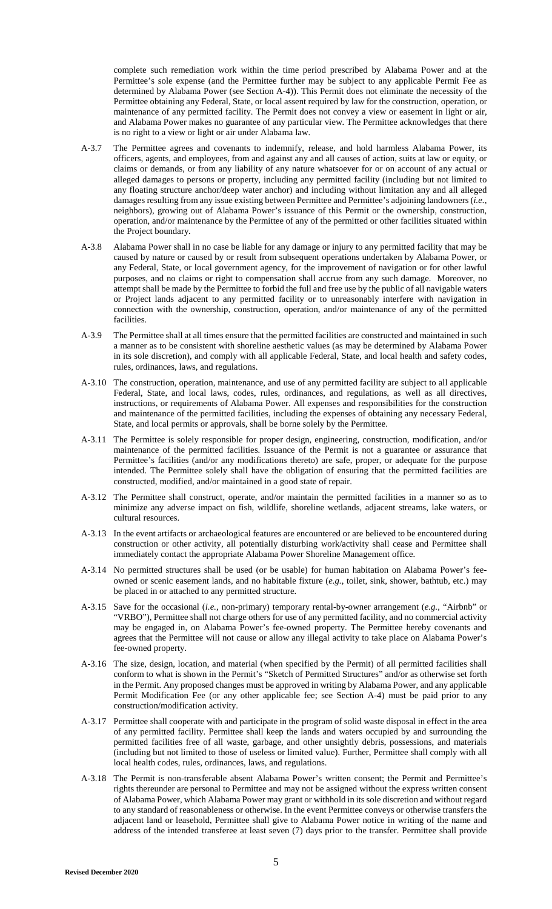complete such remediation work within the time period prescribed by Alabama Power and at the Permittee's sole expense (and the Permittee further may be subject to any applicable Permit Fee as determined by Alabama Power (see Section A-4)). This Permit does not eliminate the necessity of the Permittee obtaining any Federal, State, or local assent required by law for the construction, operation, or maintenance of any permitted facility. The Permit does not convey a view or easement in light or air, and Alabama Power makes no guarantee of any particular view. The Permittee acknowledges that there is no right to a view or light or air under Alabama law.

- A-3.7 The Permittee agrees and covenants to indemnify, release, and hold harmless Alabama Power, its officers, agents, and employees, from and against any and all causes of action, suits at law or equity, or claims or demands, or from any liability of any nature whatsoever for or on account of any actual or alleged damages to persons or property, including any permitted facility (including but not limited to any floating structure anchor/deep water anchor) and including without limitation any and all alleged damages resulting from any issue existing between Permittee and Permittee's adjoining landowners (*i.e.*, neighbors), growing out of Alabama Power's issuance of this Permit or the ownership, construction, operation, and/or maintenance by the Permittee of any of the permitted or other facilities situated within the Project boundary.
- A-3.8 Alabama Power shall in no case be liable for any damage or injury to any permitted facility that may be caused by nature or caused by or result from subsequent operations undertaken by Alabama Power, or any Federal, State, or local government agency, for the improvement of navigation or for other lawful purposes, and no claims or right to compensation shall accrue from any such damage. Moreover, no attempt shall be made by the Permittee to forbid the full and free use by the public of all navigable waters or Project lands adjacent to any permitted facility or to unreasonably interfere with navigation in connection with the ownership, construction, operation, and/or maintenance of any of the permitted facilities.
- A-3.9 The Permittee shall at all times ensure that the permitted facilities are constructed and maintained in such a manner as to be consistent with shoreline aesthetic values (as may be determined by Alabama Power in its sole discretion), and comply with all applicable Federal, State, and local health and safety codes, rules, ordinances, laws, and regulations.
- A-3.10 The construction, operation, maintenance, and use of any permitted facility are subject to all applicable Federal, State, and local laws, codes, rules, ordinances, and regulations, as well as all directives, instructions, or requirements of Alabama Power. All expenses and responsibilities for the construction and maintenance of the permitted facilities, including the expenses of obtaining any necessary Federal, State, and local permits or approvals, shall be borne solely by the Permittee.
- A-3.11 The Permittee is solely responsible for proper design, engineering, construction, modification, and/or maintenance of the permitted facilities. Issuance of the Permit is not a guarantee or assurance that Permittee's facilities (and/or any modifications thereto) are safe, proper, or adequate for the purpose intended. The Permittee solely shall have the obligation of ensuring that the permitted facilities are constructed, modified, and/or maintained in a good state of repair.
- A-3.12 The Permittee shall construct, operate, and/or maintain the permitted facilities in a manner so as to minimize any adverse impact on fish, wildlife, shoreline wetlands, adjacent streams, lake waters, or cultural resources.
- A-3.13 In the event artifacts or archaeological features are encountered or are believed to be encountered during construction or other activity, all potentially disturbing work/activity shall cease and Permittee shall immediately contact the appropriate Alabama Power Shoreline Management office.
- A-3.14 No permitted structures shall be used (or be usable) for human habitation on Alabama Power's feeowned or scenic easement lands, and no habitable fixture (*e.g.*, toilet, sink, shower, bathtub, etc.) may be placed in or attached to any permitted structure.
- A-3.15 Save for the occasional (*i.e.*, non-primary) temporary rental-by-owner arrangement (*e.g.*, "Airbnb" or "VRBO"), Permittee shall not charge others for use of any permitted facility, and no commercial activity may be engaged in, on Alabama Power's fee-owned property. The Permittee hereby covenants and agrees that the Permittee will not cause or allow any illegal activity to take place on Alabama Power's fee-owned property.
- A-3.16 The size, design, location, and material (when specified by the Permit) of all permitted facilities shall conform to what is shown in the Permit's "Sketch of Permitted Structures" and/or as otherwise set forth in the Permit. Any proposed changes must be approved in writing by Alabama Power, and any applicable Permit Modification Fee (or any other applicable fee; see Section A-4) must be paid prior to any construction/modification activity.
- A-3.17 Permittee shall cooperate with and participate in the program of solid waste disposal in effect in the area of any permitted facility. Permittee shall keep the lands and waters occupied by and surrounding the permitted facilities free of all waste, garbage, and other unsightly debris, possessions, and materials (including but not limited to those of useless or limited value). Further, Permittee shall comply with all local health codes, rules, ordinances, laws, and regulations.
- A-3.18 The Permit is non-transferable absent Alabama Power's written consent; the Permit and Permittee's rights thereunder are personal to Permittee and may not be assigned without the express written consent of Alabama Power, which Alabama Power may grant or withhold in its sole discretion and without regard to any standard of reasonableness or otherwise. In the event Permittee conveys or otherwise transfers the adjacent land or leasehold, Permittee shall give to Alabama Power notice in writing of the name and address of the intended transferee at least seven (7) days prior to the transfer. Permittee shall provide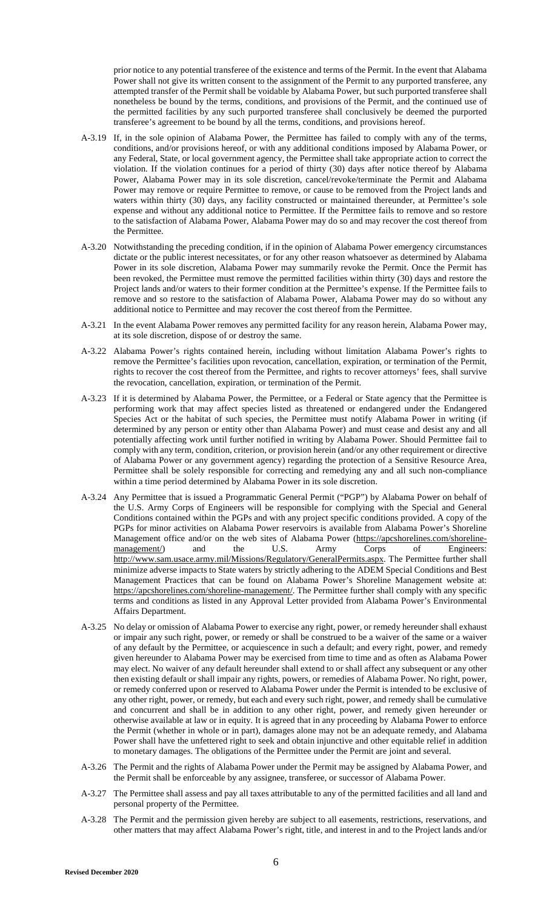prior notice to any potential transferee of the existence and terms of the Permit. In the event that Alabama Power shall not give its written consent to the assignment of the Permit to any purported transferee, any attempted transfer of the Permit shall be voidable by Alabama Power, but such purported transferee shall nonetheless be bound by the terms, conditions, and provisions of the Permit, and the continued use of the permitted facilities by any such purported transferee shall conclusively be deemed the purported transferee's agreement to be bound by all the terms, conditions, and provisions hereof.

- A-3.19 If, in the sole opinion of Alabama Power, the Permittee has failed to comply with any of the terms, conditions, and/or provisions hereof, or with any additional conditions imposed by Alabama Power, or any Federal, State, or local government agency, the Permittee shall take appropriate action to correct the violation. If the violation continues for a period of thirty (30) days after notice thereof by Alabama Power, Alabama Power may in its sole discretion, cancel/revoke/terminate the Permit and Alabama Power may remove or require Permittee to remove, or cause to be removed from the Project lands and waters within thirty (30) days, any facility constructed or maintained thereunder, at Permittee's sole expense and without any additional notice to Permittee. If the Permittee fails to remove and so restore to the satisfaction of Alabama Power, Alabama Power may do so and may recover the cost thereof from the Permittee.
- A-3.20 Notwithstanding the preceding condition, if in the opinion of Alabama Power emergency circumstances dictate or the public interest necessitates, or for any other reason whatsoever as determined by Alabama Power in its sole discretion, Alabama Power may summarily revoke the Permit. Once the Permit has been revoked, the Permittee must remove the permitted facilities within thirty (30) days and restore the Project lands and/or waters to their former condition at the Permittee's expense. If the Permittee fails to remove and so restore to the satisfaction of Alabama Power, Alabama Power may do so without any additional notice to Permittee and may recover the cost thereof from the Permittee.
- A-3.21 In the event Alabama Power removes any permitted facility for any reason herein, Alabama Power may, at its sole discretion, dispose of or destroy the same.
- A-3.22 Alabama Power's rights contained herein, including without limitation Alabama Power's rights to remove the Permittee's facilities upon revocation, cancellation, expiration, or termination of the Permit, rights to recover the cost thereof from the Permittee, and rights to recover attorneys' fees, shall survive the revocation, cancellation, expiration, or termination of the Permit.
- A-3.23 If it is determined by Alabama Power, the Permittee, or a Federal or State agency that the Permittee is performing work that may affect species listed as threatened or endangered under the Endangered Species Act or the habitat of such species, the Permittee must notify Alabama Power in writing (if determined by any person or entity other than Alabama Power) and must cease and desist any and all potentially affecting work until further notified in writing by Alabama Power. Should Permittee fail to comply with any term, condition, criterion, or provision herein (and/or any other requirement or directive of Alabama Power or any government agency) regarding the protection of a Sensitive Resource Area, Permittee shall be solely responsible for correcting and remedying any and all such non-compliance within a time period determined by Alabama Power in its sole discretion.
- A-3.24 Any Permittee that is issued a Programmatic General Permit ("PGP") by Alabama Power on behalf of the U.S. Army Corps of Engineers will be responsible for complying with the Special and General Conditions contained within the PGPs and with any project specific conditions provided. A copy of the PGPs for minor activities on Alabama Power reservoirs is availab[le from Alabama Power's Shoreline](https://apcshorelines.com/shoreline-management/)  [Management office and/or on the web sites of Alabama Power \(https://apcshorelines.com/shoreline](https://apcshorelines.com/shoreline-management/)management/) and the U.S. Army Corps of Engineers: http://www.sam.usace.army.mil/Missions/Regulatory/GeneralPermits.aspx. The Permittee further shall minimize adverse impacts to State waters by strictly adhering to the ADEM Special Conditions and Best Management Practices that can be found on Alabama Power's Shoreline Management website at: https://apcshorelines.com/shoreline-management/. The Permittee further shall comply with any specific terms and conditions as listed in any Approval Letter provided from Alabama Power's Environmental Affairs Department.
- A-3.25 No delay or omission of Alabama Power to exercise any right, power, or remedy hereunder shall exhaust or impair any such right, power, or remedy or shall be construed to be a waiver of the same or a waiver of any default by the Permittee, or acquiescence in such a default; and every right, power, and remedy given hereunder to Alabama Power may be exercised from time to time and as often as Alabama Power may elect. No waiver of any default hereunder shall extend to or shall affect any subsequent or any other then existing default or shall impair any rights, powers, or remedies of Alabama Power. No right, power, or remedy conferred upon or reserved to Alabama Power under the Permit is intended to be exclusive of any other right, power, or remedy, but each and every such right, power, and remedy shall be cumulative and concurrent and shall be in addition to any other right, power, and remedy given hereunder or otherwise available at law or in equity. It is agreed that in any proceeding by Alabama Power to enforce the Permit (whether in whole or in part), damages alone may not be an adequate remedy, and Alabama Power shall have the unfettered right to seek and obtain injunctive and other equitable relief in addition to monetary damages. The obligations of the Permittee under the Permit are joint and several.
- A-3.26 The Permit and the rights of Alabama Power under the Permit may be assigned by Alabama Power, and the Permit shall be enforceable by any assignee, transferee, or successor of Alabama Power.
- A-3.27 The Permittee shall assess and pay all taxes attributable to any of the permitted facilities and all land and personal property of the Permittee.
- A-3.28 The Permit and the permission given hereby are subject to all easements, restrictions, reservations, and other matters that may affect Alabama Power's right, title, and interest in and to the Project lands and/or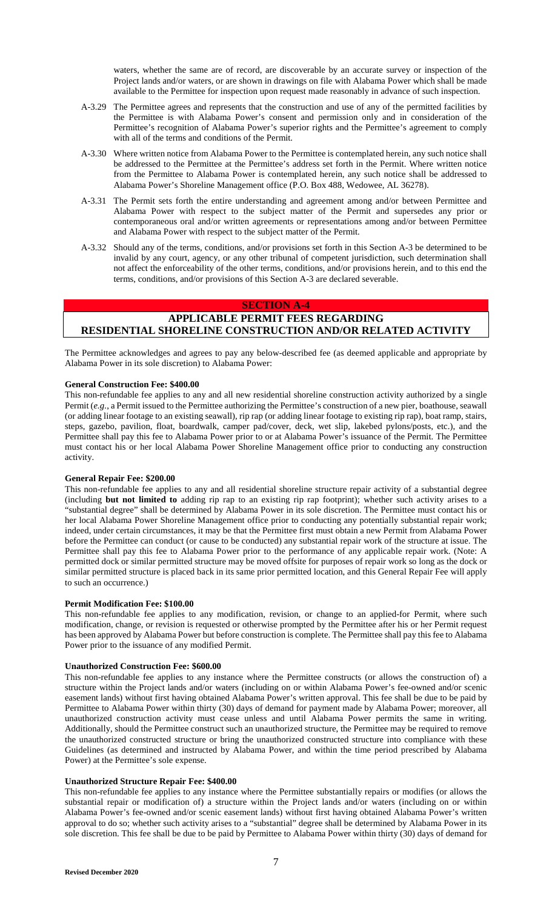waters, whether the same are of record, are discoverable by an accurate survey or inspection of the Project lands and/or waters, or are shown in drawings on file with Alabama Power which shall be made available to the Permittee for inspection upon request made reasonably in advance of such inspection.

- A-3.29 The Permittee agrees and represents that the construction and use of any of the permitted facilities by the Permittee is with Alabama Power's consent and permission only and in consideration of the Permittee's recognition of Alabama Power's superior rights and the Permittee's agreement to comply with all of the terms and conditions of the Permit.
- A-3.30 Where written notice from Alabama Power to the Permittee is contemplated herein, any such notice shall be addressed to the Permittee at the Permittee's address set forth in the Permit. Where written notice from the Permittee to Alabama Power is contemplated herein, any such notice shall be addressed to Alabama Power's Shoreline Management office (P.O. Box 488, Wedowee, AL 36278).
- A-3.31 The Permit sets forth the entire understanding and agreement among and/or between Permittee and Alabama Power with respect to the subject matter of the Permit and supersedes any prior or contemporaneous oral and/or written agreements or representations among and/or between Permittee and Alabama Power with respect to the subject matter of the Permit.
- A-3.32 Should any of the terms, conditions, and/or provisions set forth in this Section A-3 be determined to be invalid by any court, agency, or any other tribunal of competent jurisdiction, such determination shall not affect the enforceability of the other terms, conditions, and/or provisions herein, and to this end the terms, conditions, and/or provisions of this Section A-3 are declared severable.

# **SECTION A-4**

# **APPLICABLE PERMIT FEES REGARDING RESIDENTIAL SHORELINE CONSTRUCTION AND/OR RELATED ACTIVITY**

The Permittee acknowledges and agrees to pay any below-described fee (as deemed applicable and appropriate by Alabama Power in its sole discretion) to Alabama Power:

### **General Construction Fee: \$400.00**

This non-refundable fee applies to any and all new residential shoreline construction activity authorized by a single Permit (*e.g.*, a Permit issued to the Permittee authorizing the Permittee's construction of a new pier, boathouse, seawall (or adding linear footage to an existing seawall), rip rap (or adding linear footage to existing rip rap), boat ramp, stairs, steps, gazebo, pavilion, float, boardwalk, camper pad/cover, deck, wet slip, lakebed pylons/posts, etc.), and the Permittee shall pay this fee to Alabama Power prior to or at Alabama Power's issuance of the Permit. The Permittee must contact his or her local Alabama Power Shoreline Management office prior to conducting any construction activity.

### **General Repair Fee: \$200.00**

This non-refundable fee applies to any and all residential shoreline structure repair activity of a substantial degree (including **but not limited to** adding rip rap to an existing rip rap footprint); whether such activity arises to a "substantial degree" shall be determined by Alabama Power in its sole discretion. The Permittee must contact his or her local Alabama Power Shoreline Management office prior to conducting any potentially substantial repair work; indeed, under certain circumstances, it may be that the Permittee first must obtain a new Permit from Alabama Power before the Permittee can conduct (or cause to be conducted) any substantial repair work of the structure at issue. The Permittee shall pay this fee to Alabama Power prior to the performance of any applicable repair work. (Note: A permitted dock or similar permitted structure may be moved offsite for purposes of repair work so long as the dock or similar permitted structure is placed back in its same prior permitted location, and this General Repair Fee will apply to such an occurrence.)

#### **Permit Modification Fee: \$100.00**

This non-refundable fee applies to any modification, revision, or change to an applied-for Permit, where such modification, change, or revision is requested or otherwise prompted by the Permittee after his or her Permit request has been approved by Alabama Power but before construction is complete. The Permittee shall pay this fee to Alabama Power prior to the issuance of any modified Permit.

### **Unauthorized Construction Fee: \$600.00**

This non-refundable fee applies to any instance where the Permittee constructs (or allows the construction of) a structure within the Project lands and/or waters (including on or within Alabama Power's fee-owned and/or scenic easement lands) without first having obtained Alabama Power's written approval. This fee shall be due to be paid by Permittee to Alabama Power within thirty (30) days of demand for payment made by Alabama Power; moreover, all unauthorized construction activity must cease unless and until Alabama Power permits the same in writing. Additionally, should the Permittee construct such an unauthorized structure, the Permittee may be required to remove the unauthorized constructed structure or bring the unauthorized constructed structure into compliance with these Guidelines (as determined and instructed by Alabama Power, and within the time period prescribed by Alabama Power) at the Permittee's sole expense.

### **Unauthorized Structure Repair Fee: \$400.00**

This non-refundable fee applies to any instance where the Permittee substantially repairs or modifies (or allows the substantial repair or modification of) a structure within the Project lands and/or waters (including on or within Alabama Power's fee-owned and/or scenic easement lands) without first having obtained Alabama Power's written approval to do so; whether such activity arises to a "substantial" degree shall be determined by Alabama Power in its sole discretion. This fee shall be due to be paid by Permittee to Alabama Power within thirty (30) days of demand for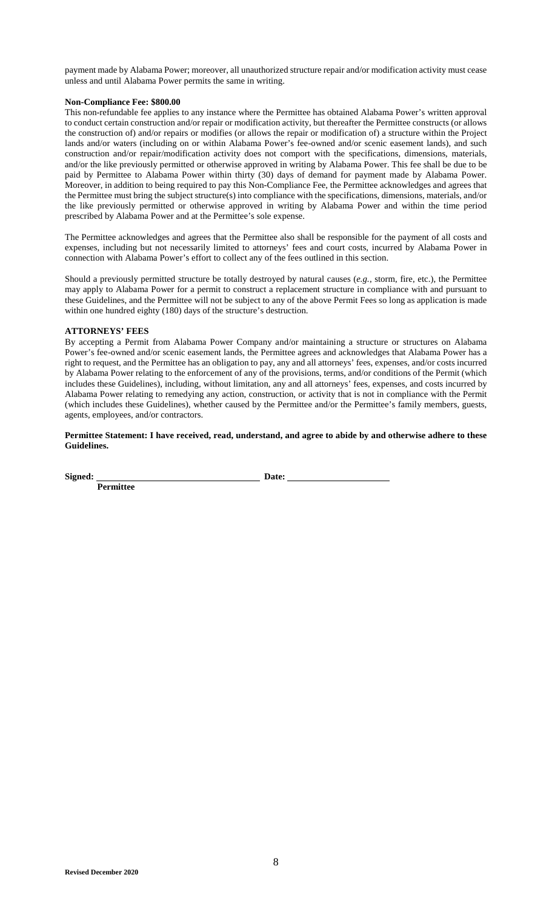payment made by Alabama Power; moreover, all unauthorized structure repair and/or modification activity must cease unless and until Alabama Power permits the same in writing.

### **Non-Compliance Fee: \$800.00**

This non-refundable fee applies to any instance where the Permittee has obtained Alabama Power's written approval to conduct certain construction and/or repair or modification activity, but thereafter the Permittee constructs (or allows the construction of) and/or repairs or modifies (or allows the repair or modification of) a structure within the Project lands and/or waters (including on or within Alabama Power's fee-owned and/or scenic easement lands), and such construction and/or repair/modification activity does not comport with the specifications, dimensions, materials, and/or the like previously permitted or otherwise approved in writing by Alabama Power. This fee shall be due to be paid by Permittee to Alabama Power within thirty (30) days of demand for payment made by Alabama Power. Moreover, in addition to being required to pay this Non-Compliance Fee, the Permittee acknowledges and agrees that the Permittee must bring the subject structure(s) into compliance with the specifications, dimensions, materials, and/or the like previously permitted or otherwise approved in writing by Alabama Power and within the time period prescribed by Alabama Power and at the Permittee's sole expense.

The Permittee acknowledges and agrees that the Permittee also shall be responsible for the payment of all costs and expenses, including but not necessarily limited to attorneys' fees and court costs, incurred by Alabama Power in connection with Alabama Power's effort to collect any of the fees outlined in this section.

Should a previously permitted structure be totally destroyed by natural causes (*e.g.*, storm, fire, etc.), the Permittee may apply to Alabama Power for a permit to construct a replacement structure in compliance with and pursuant to these Guidelines, and the Permittee will not be subject to any of the above Permit Fees so long as application is made within one hundred eighty (180) days of the structure's destruction.

### **ATTORNEYS' FEES**

By accepting a Permit from Alabama Power Company and/or maintaining a structure or structures on Alabama Power's fee-owned and/or scenic easement lands, the Permittee agrees and acknowledges that Alabama Power has a right to request, and the Permittee has an obligation to pay, any and all attorneys' fees, expenses, and/or costs incurred by Alabama Power relating to the enforcement of any of the provisions, terms, and/or conditions of the Permit (which includes these Guidelines), including, without limitation, any and all attorneys' fees, expenses, and costs incurred by Alabama Power relating to remedying any action, construction, or activity that is not in compliance with the Permit (which includes these Guidelines), whether caused by the Permittee and/or the Permittee's family members, guests, agents, employees, and/or contractors.

**Permittee Statement: I have received, read, understand, and agree to abide by and otherwise adhere to these Guidelines.** 

**Signed:** Date:

**Permittee**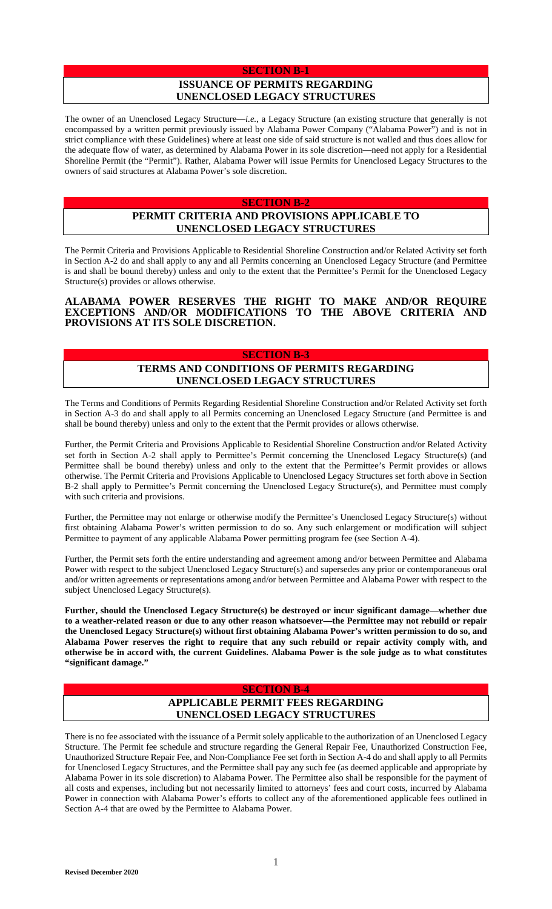### **SECTION B-1**

# **ISSUANCE OF PERMITS REGARDING UNENCLOSED LEGACY STRUCTURES**

The owner of an Unenclosed Legacy Structure—*i.e.*, a Legacy Structure (an existing structure that generally is not encompassed by a written permit previously issued by Alabama Power Company ("Alabama Power") and is not in strict compliance with these Guidelines) where at least one side of said structure is not walled and thus does allow for the adequate flow of water, as determined by Alabama Power in its sole discretion—need not apply for a Residential Shoreline Permit (the "Permit"). Rather, Alabama Power will issue Permits for Unenclosed Legacy Structures to the owners of said structures at Alabama Power's sole discretion.

#### **SECTION B-2**

# **PERMIT CRITERIA AND PROVISIONS APPLICABLE TO UNENCLOSED LEGACY STRUCTURES**

The Permit Criteria and Provisions Applicable to Residential Shoreline Construction and/or Related Activity set forth in Section A-2 do and shall apply to any and all Permits concerning an Unenclosed Legacy Structure (and Permittee is and shall be bound thereby) unless and only to the extent that the Permittee's Permit for the Unenclosed Legacy Structure(s) provides or allows otherwise.

## **ALABAMA POWER RESERVES THE RIGHT TO MAKE AND/OR REQUIRE EXCEPTIONS AND/OR MODIFICATIONS TO THE ABOVE CRITERIA AND PROVISIONS AT ITS SOLE DISCRETION.**

#### **SECTION B-3**

# **TERMS AND CONDITIONS OF PERMITS REGARDING UNENCLOSED LEGACY STRUCTURES**

The Terms and Conditions of Permits Regarding Residential Shoreline Construction and/or Related Activity set forth in Section A-3 do and shall apply to all Permits concerning an Unenclosed Legacy Structure (and Permittee is and shall be bound thereby) unless and only to the extent that the Permit provides or allows otherwise.

Further, the Permit Criteria and Provisions Applicable to Residential Shoreline Construction and/or Related Activity set forth in Section A-2 shall apply to Permittee's Permit concerning the Unenclosed Legacy Structure(s) (and Permittee shall be bound thereby) unless and only to the extent that the Permittee's Permit provides or allows otherwise. The Permit Criteria and Provisions Applicable to Unenclosed Legacy Structures set forth above in Section B-2 shall apply to Permittee's Permit concerning the Unenclosed Legacy Structure(s), and Permittee must comply with such criteria and provisions.

Further, the Permittee may not enlarge or otherwise modify the Permittee's Unenclosed Legacy Structure(s) without first obtaining Alabama Power's written permission to do so. Any such enlargement or modification will subject Permittee to payment of any applicable Alabama Power permitting program fee (see Section A-4).

Further, the Permit sets forth the entire understanding and agreement among and/or between Permittee and Alabama Power with respect to the subject Unenclosed Legacy Structure(s) and supersedes any prior or contemporaneous oral and/or written agreements or representations among and/or between Permittee and Alabama Power with respect to the subject Unenclosed Legacy Structure(s).

**Further, should the Unenclosed Legacy Structure(s) be destroyed or incur significant damage—whether due to a weather-related reason or due to any other reason whatsoever—the Permittee may not rebuild or repair the Unenclosed Legacy Structure(s) without first obtaining Alabama Power's written permission to do so, and Alabama Power reserves the right to require that any such rebuild or repair activity comply with, and otherwise be in accord with, the current Guidelines. Alabama Power is the sole judge as to what constitutes "significant damage."** 

# **SECTION B-4**

# **APPLICABLE PERMIT FEES REGARDING UNENCLOSED LEGACY STRUCTURES**

There is no fee associated with the issuance of a Permit solely applicable to the authorization of an Unenclosed Legacy Structure. The Permit fee schedule and structure regarding the General Repair Fee, Unauthorized Construction Fee, Unauthorized Structure Repair Fee, and Non-Compliance Fee set forth in Section A-4 do and shall apply to all Permits for Unenclosed Legacy Structures, and the Permittee shall pay any such fee (as deemed applicable and appropriate by Alabama Power in its sole discretion) to Alabama Power. The Permittee also shall be responsible for the payment of all costs and expenses, including but not necessarily limited to attorneys' fees and court costs, incurred by Alabama Power in connection with Alabama Power's efforts to collect any of the aforementioned applicable fees outlined in Section A-4 that are owed by the Permittee to Alabama Power.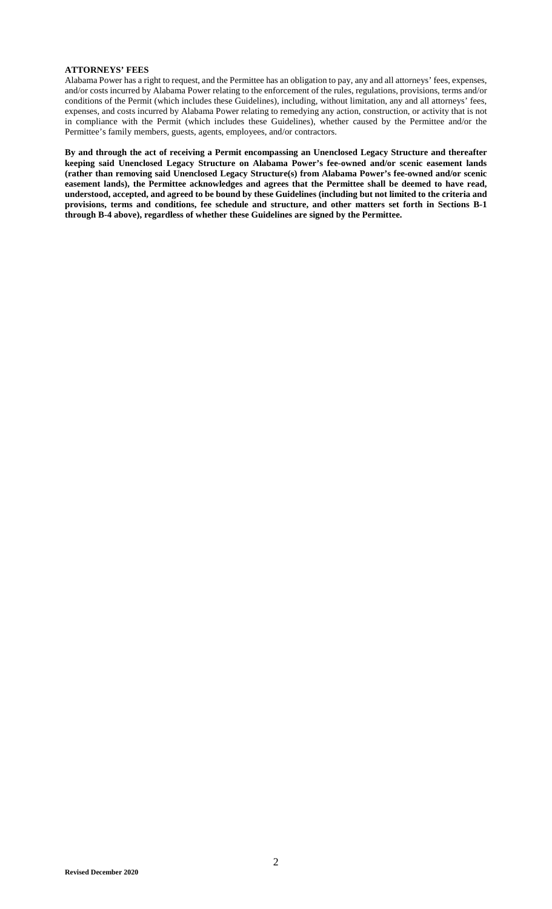# **ATTORNEYS' FEES**

Alabama Power has a right to request, and the Permittee has an obligation to pay, any and all attorneys' fees, expenses, and/or costs incurred by Alabama Power relating to the enforcement of the rules, regulations, provisions, terms and/or conditions of the Permit (which includes these Guidelines), including, without limitation, any and all attorneys' fees, expenses, and costs incurred by Alabama Power relating to remedying any action, construction, or activity that is not in compliance with the Permit (which includes these Guidelines), whether caused by the Permittee and/or the Permittee's family members, guests, agents, employees, and/or contractors.

**By and through the act of receiving a Permit encompassing an Unenclosed Legacy Structure and thereafter keeping said Unenclosed Legacy Structure on Alabama Power's fee-owned and/or scenic easement lands (rather than removing said Unenclosed Legacy Structure(s) from Alabama Power's fee-owned and/or scenic easement lands), the Permittee acknowledges and agrees that the Permittee shall be deemed to have read, understood, accepted, and agreed to be bound by these Guidelines (including but not limited to the criteria and provisions, terms and conditions, fee schedule and structure, and other matters set forth in Sections B-1 through B-4 above), regardless of whether these Guidelines are signed by the Permittee.**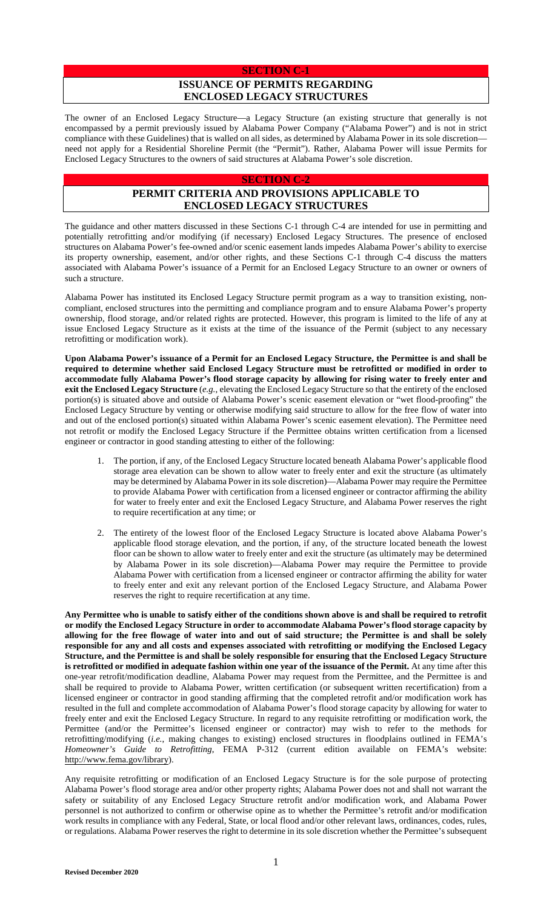### **SECTION C-1**

# **ISSUANCE OF PERMITS REGARDING ENCLOSED LEGACY STRUCTURES**

The owner of an Enclosed Legacy Structure—a Legacy Structure (an existing structure that generally is not encompassed by a permit previously issued by Alabama Power Company ("Alabama Power") and is not in strict compliance with these Guidelines) that is walled on all sides, as determined by Alabama Power in its sole discretion need not apply for a Residential Shoreline Permit (the "Permit"). Rather, Alabama Power will issue Permits for Enclosed Legacy Structures to the owners of said structures at Alabama Power's sole discretion.

## **SECTION C-2**

# **PERMIT CRITERIA AND PROVISIONS APPLICABLE TO ENCLOSED LEGACY STRUCTURES**

The guidance and other matters discussed in these Sections C-1 through C-4 are intended for use in permitting and potentially retrofitting and/or modifying (if necessary) Enclosed Legacy Structures. The presence of enclosed structures on Alabama Power's fee-owned and/or scenic easement lands impedes Alabama Power's ability to exercise its property ownership, easement, and/or other rights, and these Sections C-1 through C-4 discuss the matters associated with Alabama Power's issuance of a Permit for an Enclosed Legacy Structure to an owner or owners of such a structure.

Alabama Power has instituted its Enclosed Legacy Structure permit program as a way to transition existing, noncompliant, enclosed structures into the permitting and compliance program and to ensure Alabama Power's property ownership, flood storage, and/or related rights are protected. However, this program is limited to the life of any at issue Enclosed Legacy Structure as it exists at the time of the issuance of the Permit (subject to any necessary retrofitting or modification work).

**Upon Alabama Power's issuance of a Permit for an Enclosed Legacy Structure, the Permittee is and shall be required to determine whether said Enclosed Legacy Structure must be retrofitted or modified in order to accommodate fully Alabama Power's flood storage capacity by allowing for rising water to freely enter and exit the Enclosed Legacy Structure** (*e.g.*, elevating the Enclosed Legacy Structure so that the entirety of the enclosed portion(s) is situated above and outside of Alabama Power's scenic easement elevation or "wet flood-proofing" the Enclosed Legacy Structure by venting or otherwise modifying said structure to allow for the free flow of water into and out of the enclosed portion(s) situated within Alabama Power's scenic easement elevation). The Permittee need not retrofit or modify the Enclosed Legacy Structure if the Permittee obtains written certification from a licensed engineer or contractor in good standing attesting to either of the following:

- 1. The portion, if any, of the Enclosed Legacy Structure located beneath Alabama Power's applicable flood storage area elevation can be shown to allow water to freely enter and exit the structure (as ultimately may be determined by Alabama Power in its sole discretion)—Alabama Power may require the Permittee to provide Alabama Power with certification from a licensed engineer or contractor affirming the ability for water to freely enter and exit the Enclosed Legacy Structure, and Alabama Power reserves the right to require recertification at any time; or
- 2. The entirety of the lowest floor of the Enclosed Legacy Structure is located above Alabama Power's applicable flood storage elevation, and the portion, if any, of the structure located beneath the lowest floor can be shown to allow water to freely enter and exit the structure (as ultimately may be determined by Alabama Power in its sole discretion)—Alabama Power may require the Permittee to provide Alabama Power with certification from a licensed engineer or contractor affirming the ability for water to freely enter and exit any relevant portion of the Enclosed Legacy Structure, and Alabama Power reserves the right to require recertification at any time.

**Any Permittee who is unable to satisfy either of the conditions shown above is and shall be required to retrofit or modify the Enclosed Legacy Structure in order to accommodate Alabama Power's flood storage capacity by allowing for the free flowage of water into and out of said structure; the Permittee is and shall be solely responsible for any and all costs and expenses associated with retrofitting or modifying the Enclosed Legacy Structure, and the Permittee is and shall be solely responsible for ensuring that the Enclosed Legacy Structure is retrofitted or modified in adequate fashion within one year of the issuance of the Permit.** At any time after this one-year retrofit/modification deadline, Alabama Power may request from the Permittee, and the Permittee is and shall be required to provide to Alabama Power, written certification (or subsequent written recertification) from a licensed engineer or contractor in good standing affirming that the completed retrofit and/or modification work has resulted in the full and complete accommodation of Alabama Power's flood storage capacity by allowing for water to freely enter and exit the Enclosed Legacy Structure. In regard to any requisite retrofitting or modification work, the Permittee (and/or the Permittee's licensed engineer or contractor) may wish to refer to the methods for retrofitting/modifying (*i.e.*, making changes to existing) enclosed structures in floodplains outlined in FEMA's *Homeowner's Guide to Retrofitting*, FEMA P-312 (current edition available on FEMA's website: [http://www.fema.gov/library\)](http://www.fema.gov/library).

Any requisite retrofitting or modification of an Enclosed Legacy Structure is for the sole purpose of protecting Alabama Power's flood storage area and/or other property rights; Alabama Power does not and shall not warrant the safety or suitability of any Enclosed Legacy Structure retrofit and/or modification work, and Alabama Power personnel is not authorized to confirm or otherwise opine as to whether the Permittee's retrofit and/or modification work results in compliance with any Federal, State, or local flood and/or other relevant laws, ordinances, codes, rules, or regulations. Alabama Power reserves the right to determine in its sole discretion whether the Permittee's subsequent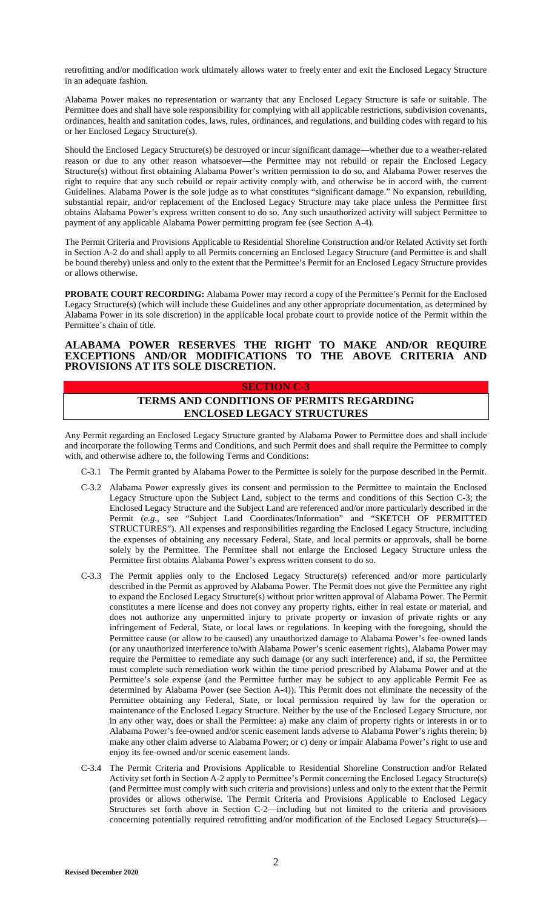retrofitting and/or modification work ultimately allows water to freely enter and exit the Enclosed Legacy Structure in an adequate fashion.

Alabama Power makes no representation or warranty that any Enclosed Legacy Structure is safe or suitable. The Permittee does and shall have sole responsibility for complying with all applicable restrictions, subdivision covenants, ordinances, health and sanitation codes, laws, rules, ordinances, and regulations, and building codes with regard to his or her Enclosed Legacy Structure(s).

Should the Enclosed Legacy Structure(s) be destroyed or incur significant damage—whether due to a weather-related reason or due to any other reason whatsoever—the Permittee may not rebuild or repair the Enclosed Legacy Structure(s) without first obtaining Alabama Power's written permission to do so, and Alabama Power reserves the right to require that any such rebuild or repair activity comply with, and otherwise be in accord with, the current Guidelines. Alabama Power is the sole judge as to what constitutes "significant damage." No expansion, rebuilding, substantial repair, and/or replacement of the Enclosed Legacy Structure may take place unless the Permittee first obtains Alabama Power's express written consent to do so. Any such unauthorized activity will subject Permittee to payment of any applicable Alabama Power permitting program fee (see Section A-4).

The Permit Criteria and Provisions Applicable to Residential Shoreline Construction and/or Related Activity set forth in Section A-2 do and shall apply to all Permits concerning an Enclosed Legacy Structure (and Permittee is and shall be bound thereby) unless and only to the extent that the Permittee's Permit for an Enclosed Legacy Structure provides or allows otherwise.

**PROBATE COURT RECORDING:** Alabama Power may record a copy of the Permittee's Permit for the Enclosed Legacy Structure(s) (which will include these Guidelines and any other appropriate documentation, as determined by Alabama Power in its sole discretion) in the applicable local probate court to provide notice of the Permit within the Permittee's chain of title.

### **ALABAMA POWER RESERVES THE RIGHT TO MAKE AND/OR REQUIRE EXCEPTIONS AND/OR MODIFICATIONS TO THE ABOVE CRITERIA AND PROVISIONS AT ITS SOLE DISCRETION.**

#### **SECTION C-3**

# **TERMS AND CONDITIONS OF PERMITS REGARDING ENCLOSED LEGACY STRUCTURES**

Any Permit regarding an Enclosed Legacy Structure granted by Alabama Power to Permittee does and shall include and incorporate the following Terms and Conditions, and such Permit does and shall require the Permittee to comply with, and otherwise adhere to, the following Terms and Conditions:

- C-3.1 The Permit granted by Alabama Power to the Permittee is solely for the purpose described in the Permit.
- C-3.2 Alabama Power expressly gives its consent and permission to the Permittee to maintain the Enclosed Legacy Structure upon the Subject Land, subject to the terms and conditions of this Section C-3; the Enclosed Legacy Structure and the Subject Land are referenced and/or more particularly described in the Permit (*e.g.*, see "Subject Land Coordinates/Information" and "SKETCH OF PERMITTED STRUCTURES"). All expenses and responsibilities regarding the Enclosed Legacy Structure, including the expenses of obtaining any necessary Federal, State, and local permits or approvals, shall be borne solely by the Permittee. The Permittee shall not enlarge the Enclosed Legacy Structure unless the Permittee first obtains Alabama Power's express written consent to do so.
- C-3.3 The Permit applies only to the Enclosed Legacy Structure(s) referenced and/or more particularly described in the Permit as approved by Alabama Power. The Permit does not give the Permittee any right to expand the Enclosed Legacy Structure(s) without prior written approval of Alabama Power. The Permit constitutes a mere license and does not convey any property rights, either in real estate or material, and does not authorize any unpermitted injury to private property or invasion of private rights or any infringement of Federal, State, or local laws or regulations. In keeping with the foregoing, should the Permittee cause (or allow to be caused) any unauthorized damage to Alabama Power's fee-owned lands (or any unauthorized interference to/with Alabama Power's scenic easement rights), Alabama Power may require the Permittee to remediate any such damage (or any such interference) and, if so, the Permittee must complete such remediation work within the time period prescribed by Alabama Power and at the Permittee's sole expense (and the Permittee further may be subject to any applicable Permit Fee as determined by Alabama Power (see Section A-4)). This Permit does not eliminate the necessity of the Permittee obtaining any Federal, State, or local permission required by law for the operation or maintenance of the Enclosed Legacy Structure. Neither by the use of the Enclosed Legacy Structure, nor in any other way, does or shall the Permittee: a) make any claim of property rights or interests in or to Alabama Power's fee-owned and/or scenic easement lands adverse to Alabama Power's rights therein; b) make any other claim adverse to Alabama Power; or c) deny or impair Alabama Power's right to use and enjoy its fee-owned and/or scenic easement lands.
- C-3.4 The Permit Criteria and Provisions Applicable to Residential Shoreline Construction and/or Related Activity set forth in Section A-2 apply to Permittee's Permit concerning the Enclosed Legacy Structure(s) (and Permittee must comply with such criteria and provisions) unless and only to the extent that the Permit provides or allows otherwise. The Permit Criteria and Provisions Applicable to Enclosed Legacy Structures set forth above in Section C-2—including but not limited to the criteria and provisions concerning potentially required retrofitting and/or modification of the Enclosed Legacy Structure(s)—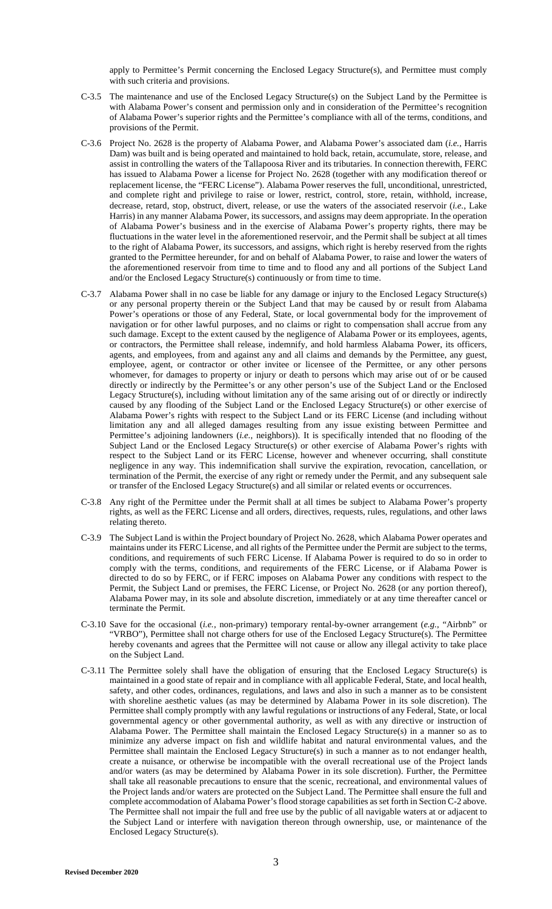apply to Permittee's Permit concerning the Enclosed Legacy Structure(s), and Permittee must comply with such criteria and provisions.

- C-3.5 The maintenance and use of the Enclosed Legacy Structure(s) on the Subject Land by the Permittee is with Alabama Power's consent and permission only and in consideration of the Permittee's recognition of Alabama Power's superior rights and the Permittee's compliance with all of the terms, conditions, and provisions of the Permit.
- C-3.6 Project No. 2628 is the property of Alabama Power, and Alabama Power's associated dam (*i.e.*, Harris Dam) was built and is being operated and maintained to hold back, retain, accumulate, store, release, and assist in controlling the waters of the Tallapoosa River and its tributaries. In connection therewith, FERC has issued to Alabama Power a license for Project No. 2628 (together with any modification thereof or replacement license, the "FERC License"). Alabama Power reserves the full, unconditional, unrestricted, and complete right and privilege to raise or lower, restrict, control, store, retain, withhold, increase, decrease, retard, stop, obstruct, divert, release, or use the waters of the associated reservoir (*i.e.*, Lake Harris) in any manner Alabama Power, its successors, and assigns may deem appropriate. In the operation of Alabama Power's business and in the exercise of Alabama Power's property rights, there may be fluctuations in the water level in the aforementioned reservoir, and the Permit shall be subject at all times to the right of Alabama Power, its successors, and assigns, which right is hereby reserved from the rights granted to the Permittee hereunder, for and on behalf of Alabama Power, to raise and lower the waters of the aforementioned reservoir from time to time and to flood any and all portions of the Subject Land and/or the Enclosed Legacy Structure(s) continuously or from time to time.
- C-3.7 Alabama Power shall in no case be liable for any damage or injury to the Enclosed Legacy Structure(s) or any personal property therein or the Subject Land that may be caused by or result from Alabama Power's operations or those of any Federal, State, or local governmental body for the improvement of navigation or for other lawful purposes, and no claims or right to compensation shall accrue from any such damage. Except to the extent caused by the negligence of Alabama Power or its employees, agents, or contractors, the Permittee shall release, indemnify, and hold harmless Alabama Power, its officers, agents, and employees, from and against any and all claims and demands by the Permittee, any guest, employee, agent, or contractor or other invitee or licensee of the Permittee, or any other persons whomever, for damages to property or injury or death to persons which may arise out of or be caused directly or indirectly by the Permittee's or any other person's use of the Subject Land or the Enclosed Legacy Structure(s), including without limitation any of the same arising out of or directly or indirectly caused by any flooding of the Subject Land or the Enclosed Legacy Structure(s) or other exercise of Alabama Power's rights with respect to the Subject Land or its FERC License (and including without limitation any and all alleged damages resulting from any issue existing between Permittee and Permittee's adjoining landowners (*i.e.*, neighbors)). It is specifically intended that no flooding of the Subject Land or the Enclosed Legacy Structure(s) or other exercise of Alabama Power's rights with respect to the Subject Land or its FERC License, however and whenever occurring, shall constitute negligence in any way. This indemnification shall survive the expiration, revocation, cancellation, or termination of the Permit, the exercise of any right or remedy under the Permit, and any subsequent sale or transfer of the Enclosed Legacy Structure(s) and all similar or related events or occurrences.
- C-3.8 Any right of the Permittee under the Permit shall at all times be subject to Alabama Power's property rights, as well as the FERC License and all orders, directives, requests, rules, regulations, and other laws relating thereto.
- C-3.9 The Subject Land is within the Project boundary of Project No. 2628, which Alabama Power operates and maintains under its FERC License, and all rights of the Permittee under the Permit are subject to the terms, conditions, and requirements of such FERC License. If Alabama Power is required to do so in order to comply with the terms, conditions, and requirements of the FERC License, or if Alabama Power is directed to do so by FERC, or if FERC imposes on Alabama Power any conditions with respect to the Permit, the Subject Land or premises, the FERC License, or Project No. 2628 (or any portion thereof), Alabama Power may, in its sole and absolute discretion, immediately or at any time thereafter cancel or terminate the Permit.
- C-3.10 Save for the occasional (*i.e.*, non-primary) temporary rental-by-owner arrangement (*e.g.*, "Airbnb" or "VRBO"), Permittee shall not charge others for use of the Enclosed Legacy Structure(s). The Permittee hereby covenants and agrees that the Permittee will not cause or allow any illegal activity to take place on the Subject Land.
- C-3.11 The Permittee solely shall have the obligation of ensuring that the Enclosed Legacy Structure(s) is maintained in a good state of repair and in compliance with all applicable Federal, State, and local health, safety, and other codes, ordinances, regulations, and laws and also in such a manner as to be consistent with shoreline aesthetic values (as may be determined by Alabama Power in its sole discretion). The Permittee shall comply promptly with any lawful regulations or instructions of any Federal, State, or local governmental agency or other governmental authority, as well as with any directive or instruction of Alabama Power. The Permittee shall maintain the Enclosed Legacy Structure(s) in a manner so as to minimize any adverse impact on fish and wildlife habitat and natural environmental values, and the Permittee shall maintain the Enclosed Legacy Structure(s) in such a manner as to not endanger health, create a nuisance, or otherwise be incompatible with the overall recreational use of the Project lands and/or waters (as may be determined by Alabama Power in its sole discretion). Further, the Permittee shall take all reasonable precautions to ensure that the scenic, recreational, and environmental values of the Project lands and/or waters are protected on the Subject Land. The Permittee shall ensure the full and complete accommodation of Alabama Power's flood storage capabilities as set forth in Section C-2 above. The Permittee shall not impair the full and free use by the public of all navigable waters at or adjacent to the Subject Land or interfere with navigation thereon through ownership, use, or maintenance of the Enclosed Legacy Structure(s).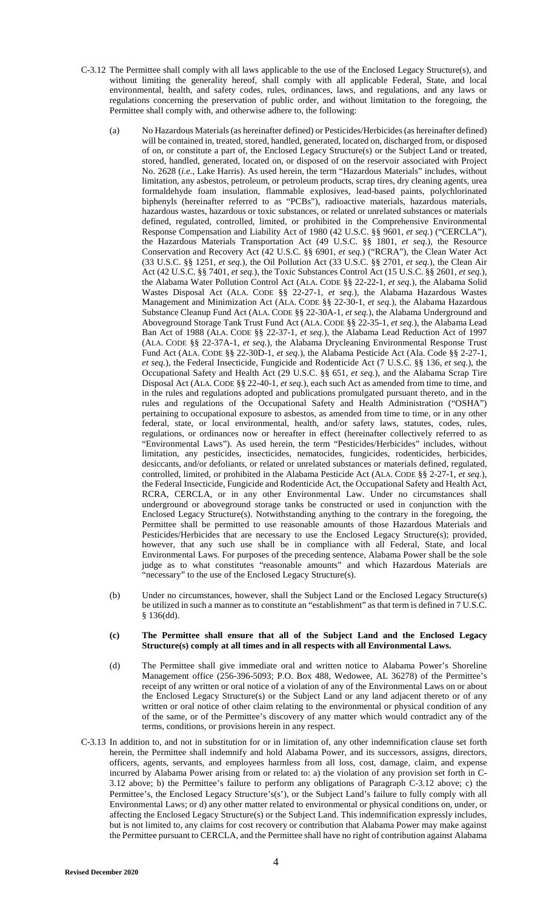- C-3.12 The Permittee shall comply with all laws applicable to the use of the Enclosed Legacy Structure(s), and without limiting the generality hereof, shall comply with all applicable Federal, State, and local environmental, health, and safety codes, rules, ordinances, laws, and regulations, and any laws or regulations concerning the preservation of public order, and without limitation to the foregoing, the Permittee shall comply with, and otherwise adhere to, the following:
	- (a) No Hazardous Materials (as hereinafter defined) or Pesticides/Herbicides (as hereinafter defined) will be contained in, treated, stored, handled, generated, located on, discharged from, or disposed of on, or constitute a part of, the Enclosed Legacy Structure(s) or the Subject Land or treated, stored, handled, generated, located on, or disposed of on the reservoir associated with Project No. 2628 (*i.e.*, Lake Harris). As used herein, the term "Hazardous Materials" includes, without limitation, any asbestos, petroleum, or petroleum products, scrap tires, dry cleaning agents, urea formaldehyde foam insulation, flammable explosives, lead-based paints, polychlorinated biphenyls (hereinafter referred to as "PCBs"), radioactive materials, hazardous materials, hazardous wastes, hazardous or toxic substances, or related or unrelated substances or materials defined, regulated, controlled, limited, or prohibited in the Comprehensive Environmental Response Compensation and Liability Act of 1980 (42 U.S.C. §§ 9601, *et seq.*) ("CERCLA"), the Hazardous Materials Transportation Act (49 U.S.C. §§ 1801, *et seq.*), the Resource Conservation and Recovery Act (42 U.S.C. §§ 6901, *et seq.*) ("RCRA"), the Clean Water Act (33 U.S.C. §§ 1251, *et seq.*), the Oil Pollution Act (33 U.S.C. §§ 2701, *et seq.*), the Clean Air Act (42 U.S.C. §§ 7401, *et seq.*), the Toxic Substances Control Act (15 U.S.C. §§ 2601, *et seq.*), the Alabama Water Pollution Control Act (ALA. CODE §§ 22-22-1, *et seq.*), the Alabama Solid Wastes Disposal Act (ALA. CODE §§ 22-27-1, *et seq.*), the Alabama Hazardous Wastes Management and Minimization Act (ALA. CODE §§ 22-30-1, *et seq.*), the Alabama Hazardous Substance Cleanup Fund Act (ALA. CODE §§ 22-30A-1, *et seq.*), the Alabama Underground and Aboveground Storage Tank Trust Fund Act (ALA. CODE §§ 22-35-1, *et seq.*), the Alabama Lead Ban Act of 1988 (ALA. CODE §§ 22-37-1, *et seq.*), the Alabama Lead Reduction Act of 1997 (ALA. CODE §§ 22-37A-1, *et seq.*), the Alabama Drycleaning Environmental Response Trust Fund Act (ALA. CODE §§ 22-30D-1, *et seq.*), the Alabama Pesticide Act (Ala. Code §§ 2-27-1, *et seq.*), the Federal Insecticide, Fungicide and Rodenticide Act (7 U.S.C. §§ 136, *et seq.*), the Occupational Safety and Health Act (29 U.S.C. §§ 651, *et seq.*), and the Alabama Scrap Tire Disposal Act (ALA. CODE §§ 22-40-1, *et seq.*), each such Act as amended from time to time, and in the rules and regulations adopted and publications promulgated pursuant thereto, and in the rules and regulations of the Occupational Safety and Health Administration ("OSHA") pertaining to occupational exposure to asbestos, as amended from time to time, or in any other federal, state, or local environmental, health, and/or safety laws, statutes, codes, rules, regulations, or ordinances now or hereafter in effect (hereinafter collectively referred to as "Environmental Laws"). As used herein, the term "Pesticides/Herbicides" includes, without limitation, any pesticides, insecticides, nematocides, fungicides, rodenticides, herbicides, desiccants, and/or defoliants, or related or unrelated substances or materials defined, regulated, controlled, limited, or prohibited in the Alabama Pesticide Act (ALA. CODE §§ 2-27-1, *et seq.*), the Federal Insecticide, Fungicide and Rodenticide Act, the Occupational Safety and Health Act, RCRA, CERCLA, or in any other Environmental Law. Under no circumstances shall underground or aboveground storage tanks be constructed or used in conjunction with the Enclosed Legacy Structure(s). Notwithstanding anything to the contrary in the foregoing, the Permittee shall be permitted to use reasonable amounts of those Hazardous Materials and Pesticides/Herbicides that are necessary to use the Enclosed Legacy Structure(s); provided, however, that any such use shall be in compliance with all Federal, State, and local Environmental Laws. For purposes of the preceding sentence, Alabama Power shall be the sole judge as to what constitutes "reasonable amounts" and which Hazardous Materials are "necessary" to the use of the Enclosed Legacy Structure(s).
	- (b) Under no circumstances, however, shall the Subject Land or the Enclosed Legacy Structure(s) be utilized in such a manner as to constitute an "establishment" as that term is defined in 7 U.S.C. § 136(dd).

#### **(c) The Permittee shall ensure that all of the Subject Land and the Enclosed Legacy Structure(s) comply at all times and in all respects with all Environmental Laws.**

- (d) The Permittee shall give immediate oral and written notice to Alabama Power's Shoreline Management office (256-396-5093; P.O. Box 488, Wedowee, AL 36278) of the Permittee's receipt of any written or oral notice of a violation of any of the Environmental Laws on or about the Enclosed Legacy Structure(s) or the Subject Land or any land adjacent thereto or of any written or oral notice of other claim relating to the environmental or physical condition of any of the same, or of the Permittee's discovery of any matter which would contradict any of the terms, conditions, or provisions herein in any respect.
- C-3.13 In addition to, and not in substitution for or in limitation of, any other indemnification clause set forth herein, the Permittee shall indemnify and hold Alabama Power, and its successors, assigns, directors, officers, agents, servants, and employees harmless from all loss, cost, damage, claim, and expense incurred by Alabama Power arising from or related to: a) the violation of any provision set forth in C-3.12 above; b) the Permittee's failure to perform any obligations of Paragraph C-3.12 above; c) the Permittee's, the Enclosed Legacy Structure's(s'), or the Subject Land's failure to fully comply with all Environmental Laws; or d) any other matter related to environmental or physical conditions on, under, or affecting the Enclosed Legacy Structure(s) or the Subject Land. This indemnification expressly includes, but is not limited to, any claims for cost recovery or contribution that Alabama Power may make against the Permittee pursuant to CERCLA, and the Permittee shall have no right of contribution against Alabama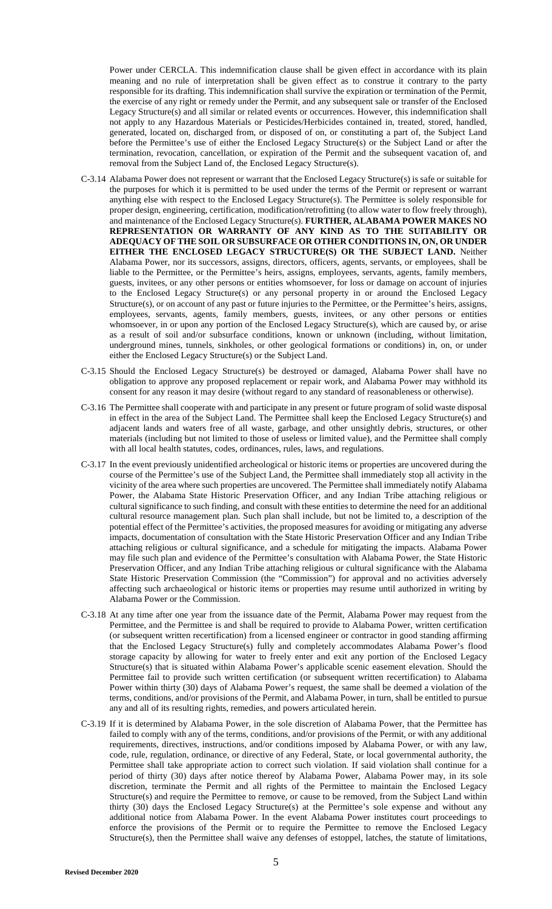Power under CERCLA. This indemnification clause shall be given effect in accordance with its plain meaning and no rule of interpretation shall be given effect as to construe it contrary to the party responsible for its drafting. This indemnification shall survive the expiration or termination of the Permit, the exercise of any right or remedy under the Permit, and any subsequent sale or transfer of the Enclosed Legacy Structure(s) and all similar or related events or occurrences. However, this indemnification shall not apply to any Hazardous Materials or Pesticides/Herbicides contained in, treated, stored, handled, generated, located on, discharged from, or disposed of on, or constituting a part of, the Subject Land before the Permittee's use of either the Enclosed Legacy Structure(s) or the Subject Land or after the termination, revocation, cancellation, or expiration of the Permit and the subsequent vacation of, and removal from the Subject Land of, the Enclosed Legacy Structure(s).

- C-3.14 Alabama Power does not represent or warrant that the Enclosed Legacy Structure(s) is safe or suitable for the purposes for which it is permitted to be used under the terms of the Permit or represent or warrant anything else with respect to the Enclosed Legacy Structure(s). The Permittee is solely responsible for proper design, engineering, certification, modification/retrofitting (to allow water to flow freely through), and maintenance of the Enclosed Legacy Structure(s). **FURTHER, ALABAMA POWER MAKES NO REPRESENTATION OR WARRANTY OF ANY KIND AS TO THE SUITABILITY OR ADEQUACY OF THE SOIL OR SUBSURFACE OR OTHER CONDITIONS IN, ON, OR UNDER EITHER THE ENCLOSED LEGACY STRUCTURE(S) OR THE SUBJECT LAND.** Neither Alabama Power, nor its successors, assigns, directors, officers, agents, servants, or employees, shall be liable to the Permittee, or the Permittee's heirs, assigns, employees, servants, agents, family members, guests, invitees, or any other persons or entities whomsoever, for loss or damage on account of injuries to the Enclosed Legacy Structure(s) or any personal property in or around the Enclosed Legacy Structure(s), or on account of any past or future injuries to the Permittee, or the Permittee's heirs, assigns, employees, servants, agents, family members, guests, invitees, or any other persons or entities whomsoever, in or upon any portion of the Enclosed Legacy Structure(s), which are caused by, or arise as a result of soil and/or subsurface conditions, known or unknown (including, without limitation, underground mines, tunnels, sinkholes, or other geological formations or conditions) in, on, or under either the Enclosed Legacy Structure(s) or the Subject Land.
- C-3.15 Should the Enclosed Legacy Structure(s) be destroyed or damaged, Alabama Power shall have no obligation to approve any proposed replacement or repair work, and Alabama Power may withhold its consent for any reason it may desire (without regard to any standard of reasonableness or otherwise).
- C-3.16 The Permittee shall cooperate with and participate in any present or future program of solid waste disposal in effect in the area of the Subject Land. The Permittee shall keep the Enclosed Legacy Structure(s) and adjacent lands and waters free of all waste, garbage, and other unsightly debris, structures, or other materials (including but not limited to those of useless or limited value), and the Permittee shall comply with all local health statutes, codes, ordinances, rules, laws, and regulations.
- C-3.17 In the event previously unidentified archeological or historic items or properties are uncovered during the course of the Permittee's use of the Subject Land, the Permittee shall immediately stop all activity in the vicinity of the area where such properties are uncovered. The Permittee shall immediately notify Alabama Power, the Alabama State Historic Preservation Officer, and any Indian Tribe attaching religious or cultural significance to such finding, and consult with these entities to determine the need for an additional cultural resource management plan. Such plan shall include, but not be limited to, a description of the potential effect of the Permittee's activities, the proposed measures for avoiding or mitigating any adverse impacts, documentation of consultation with the State Historic Preservation Officer and any Indian Tribe attaching religious or cultural significance, and a schedule for mitigating the impacts. Alabama Power may file such plan and evidence of the Permittee's consultation with Alabama Power, the State Historic Preservation Officer, and any Indian Tribe attaching religious or cultural significance with the Alabama State Historic Preservation Commission (the "Commission") for approval and no activities adversely affecting such archaeological or historic items or properties may resume until authorized in writing by Alabama Power or the Commission.
- C-3.18 At any time after one year from the issuance date of the Permit, Alabama Power may request from the Permittee, and the Permittee is and shall be required to provide to Alabama Power, written certification (or subsequent written recertification) from a licensed engineer or contractor in good standing affirming that the Enclosed Legacy Structure(s) fully and completely accommodates Alabama Power's flood storage capacity by allowing for water to freely enter and exit any portion of the Enclosed Legacy Structure(s) that is situated within Alabama Power's applicable scenic easement elevation. Should the Permittee fail to provide such written certification (or subsequent written recertification) to Alabama Power within thirty (30) days of Alabama Power's request, the same shall be deemed a violation of the terms, conditions, and/or provisions of the Permit, and Alabama Power, in turn, shall be entitled to pursue any and all of its resulting rights, remedies, and powers articulated herein.
- C-3.19 If it is determined by Alabama Power, in the sole discretion of Alabama Power, that the Permittee has failed to comply with any of the terms, conditions, and/or provisions of the Permit, or with any additional requirements, directives, instructions, and/or conditions imposed by Alabama Power, or with any law, code, rule, regulation, ordinance, or directive of any Federal, State, or local governmental authority, the Permittee shall take appropriate action to correct such violation. If said violation shall continue for a period of thirty (30) days after notice thereof by Alabama Power, Alabama Power may, in its sole discretion, terminate the Permit and all rights of the Permittee to maintain the Enclosed Legacy Structure(s) and require the Permittee to remove, or cause to be removed, from the Subject Land within thirty (30) days the Enclosed Legacy Structure(s) at the Permittee's sole expense and without any additional notice from Alabama Power. In the event Alabama Power institutes court proceedings to enforce the provisions of the Permit or to require the Permittee to remove the Enclosed Legacy Structure(s), then the Permittee shall waive any defenses of estoppel, latches, the statute of limitations,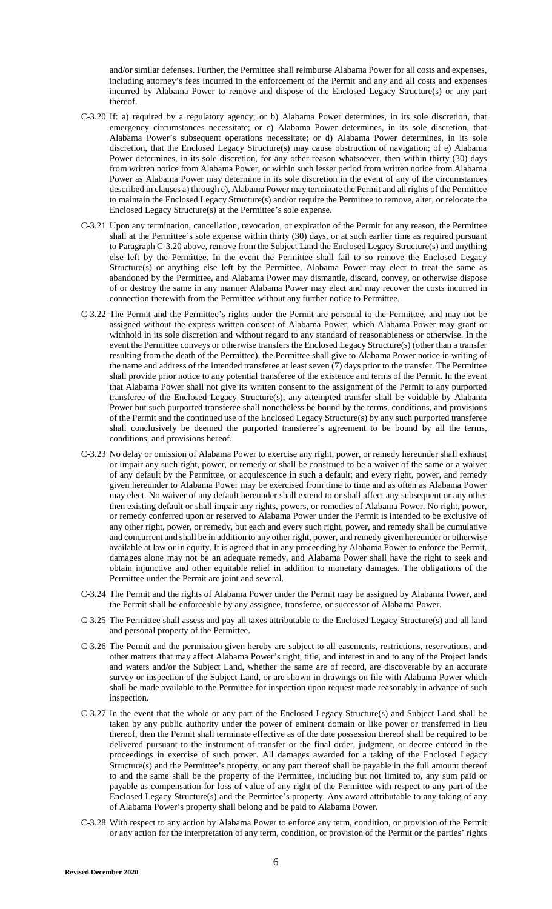and/or similar defenses. Further, the Permittee shall reimburse Alabama Power for all costs and expenses, including attorney's fees incurred in the enforcement of the Permit and any and all costs and expenses incurred by Alabama Power to remove and dispose of the Enclosed Legacy Structure(s) or any part thereof.

- C-3.20 If: a) required by a regulatory agency; or b) Alabama Power determines, in its sole discretion, that emergency circumstances necessitate; or c) Alabama Power determines, in its sole discretion, that Alabama Power's subsequent operations necessitate; or d) Alabama Power determines, in its sole discretion, that the Enclosed Legacy Structure(s) may cause obstruction of navigation; of e) Alabama Power determines, in its sole discretion, for any other reason whatsoever, then within thirty (30) days from written notice from Alabama Power, or within such lesser period from written notice from Alabama Power as Alabama Power may determine in its sole discretion in the event of any of the circumstances described in clauses a) through e), Alabama Power may terminate the Permit and all rights of the Permittee to maintain the Enclosed Legacy Structure(s) and/or require the Permittee to remove, alter, or relocate the Enclosed Legacy Structure(s) at the Permittee's sole expense.
- C-3.21 Upon any termination, cancellation, revocation, or expiration of the Permit for any reason, the Permittee shall at the Permittee's sole expense within thirty (30) days, or at such earlier time as required pursuant to Paragraph C-3.20 above, remove from the Subject Land the Enclosed Legacy Structure(s) and anything else left by the Permittee. In the event the Permittee shall fail to so remove the Enclosed Legacy Structure(s) or anything else left by the Permittee, Alabama Power may elect to treat the same as abandoned by the Permittee, and Alabama Power may dismantle, discard, convey, or otherwise dispose of or destroy the same in any manner Alabama Power may elect and may recover the costs incurred in connection therewith from the Permittee without any further notice to Permittee.
- C-3.22 The Permit and the Permittee's rights under the Permit are personal to the Permittee, and may not be assigned without the express written consent of Alabama Power, which Alabama Power may grant or withhold in its sole discretion and without regard to any standard of reasonableness or otherwise. In the event the Permittee conveys or otherwise transfers the Enclosed Legacy Structure(s) (other than a transfer resulting from the death of the Permittee), the Permittee shall give to Alabama Power notice in writing of the name and address of the intended transferee at least seven (7) days prior to the transfer. The Permittee shall provide prior notice to any potential transferee of the existence and terms of the Permit. In the event that Alabama Power shall not give its written consent to the assignment of the Permit to any purported transferee of the Enclosed Legacy Structure(s), any attempted transfer shall be voidable by Alabama Power but such purported transferee shall nonetheless be bound by the terms, conditions, and provisions of the Permit and the continued use of the Enclosed Legacy Structure(s) by any such purported transferee shall conclusively be deemed the purported transferee's agreement to be bound by all the terms, conditions, and provisions hereof.
- C-3.23 No delay or omission of Alabama Power to exercise any right, power, or remedy hereunder shall exhaust or impair any such right, power, or remedy or shall be construed to be a waiver of the same or a waiver of any default by the Permittee, or acquiescence in such a default; and every right, power, and remedy given hereunder to Alabama Power may be exercised from time to time and as often as Alabama Power may elect. No waiver of any default hereunder shall extend to or shall affect any subsequent or any other then existing default or shall impair any rights, powers, or remedies of Alabama Power. No right, power, or remedy conferred upon or reserved to Alabama Power under the Permit is intended to be exclusive of any other right, power, or remedy, but each and every such right, power, and remedy shall be cumulative and concurrent and shall be in addition to any other right, power, and remedy given hereunder or otherwise available at law or in equity. It is agreed that in any proceeding by Alabama Power to enforce the Permit, damages alone may not be an adequate remedy, and Alabama Power shall have the right to seek and obtain injunctive and other equitable relief in addition to monetary damages. The obligations of the Permittee under the Permit are joint and several.
- C-3.24 The Permit and the rights of Alabama Power under the Permit may be assigned by Alabama Power, and the Permit shall be enforceable by any assignee, transferee, or successor of Alabama Power.
- C-3.25 The Permittee shall assess and pay all taxes attributable to the Enclosed Legacy Structure(s) and all land and personal property of the Permittee.
- C-3.26 The Permit and the permission given hereby are subject to all easements, restrictions, reservations, and other matters that may affect Alabama Power's right, title, and interest in and to any of the Project lands and waters and/or the Subject Land, whether the same are of record, are discoverable by an accurate survey or inspection of the Subject Land, or are shown in drawings on file with Alabama Power which shall be made available to the Permittee for inspection upon request made reasonably in advance of such inspection.
- C-3.27 In the event that the whole or any part of the Enclosed Legacy Structure(s) and Subject Land shall be taken by any public authority under the power of eminent domain or like power or transferred in lieu thereof, then the Permit shall terminate effective as of the date possession thereof shall be required to be delivered pursuant to the instrument of transfer or the final order, judgment, or decree entered in the proceedings in exercise of such power. All damages awarded for a taking of the Enclosed Legacy Structure(s) and the Permittee's property, or any part thereof shall be payable in the full amount thereof to and the same shall be the property of the Permittee, including but not limited to, any sum paid or payable as compensation for loss of value of any right of the Permittee with respect to any part of the Enclosed Legacy Structure(s) and the Permittee's property. Any award attributable to any taking of any of Alabama Power's property shall belong and be paid to Alabama Power.
- C-3.28 With respect to any action by Alabama Power to enforce any term, condition, or provision of the Permit or any action for the interpretation of any term, condition, or provision of the Permit or the parties' rights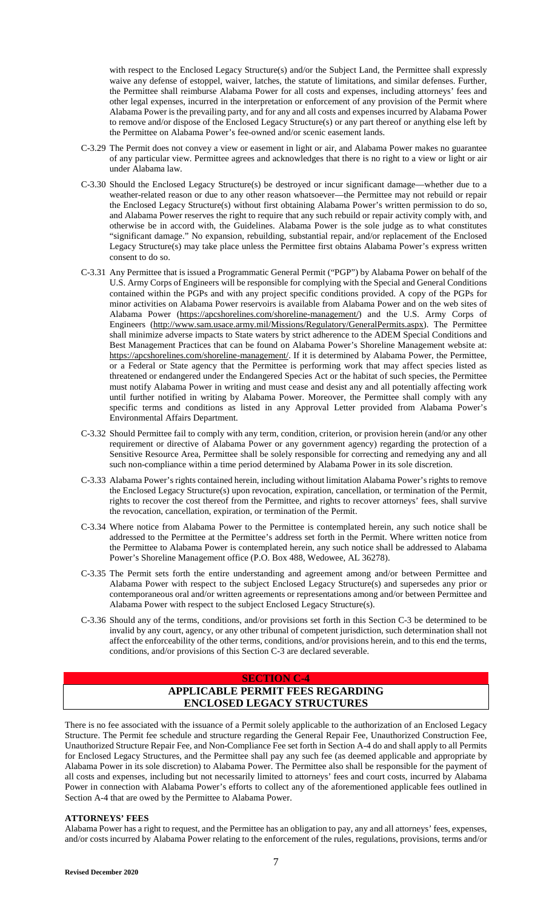with respect to the Enclosed Legacy Structure(s) and/or the Subject Land, the Permittee shall expressly waive any defense of estoppel, waiver, latches, the statute of limitations, and similar defenses. Further, the Permittee shall reimburse Alabama Power for all costs and expenses, including attorneys' fees and other legal expenses, incurred in the interpretation or enforcement of any provision of the Permit where Alabama Power is the prevailing party, and for any and all costs and expenses incurred by Alabama Power to remove and/or dispose of the Enclosed Legacy Structure(s) or any part thereof or anything else left by the Permittee on Alabama Power's fee-owned and/or scenic easement lands.

- C-3.29 The Permit does not convey a view or easement in light or air, and Alabama Power makes no guarantee of any particular view. Permittee agrees and acknowledges that there is no right to a view or light or air under Alabama law.
- C-3.30 Should the Enclosed Legacy Structure(s) be destroyed or incur significant damage—whether due to a weather-related reason or due to any other reason whatsoever—the Permittee may not rebuild or repair the Enclosed Legacy Structure(s) without first obtaining Alabama Power's written permission to do so, and Alabama Power reserves the right to require that any such rebuild or repair activity comply with, and otherwise be in accord with, the Guidelines. Alabama Power is the sole judge as to what constitutes "significant damage." No expansion, rebuilding, substantial repair, and/or replacement of the Enclosed Legacy Structure(s) may take place unless the Permittee first obtains Alabama Power's express written consent to do so.
- C-3.31 Any Permittee that is issued a Programmatic General Permit ("PGP") by Alabama Power on behalf of the U.S. Army Corps of Engineers will be responsible for complying with the Special and General Conditions contained within the PGPs and with any project specific conditions provided. A copy of the PGPs for minor activities on Alabama Power reservoirs is available from Alabama Power and on the web sites of Alabama Power [\(https://apcshorelines.com/shoreline-management/\)](https://apcshorelines.com/shoreline-management/) and the U.S. Army Corps of Engineers (http://www.sam.usace.army.mil/Missions/Regulatory/GeneralPermits.aspx). The Permittee shall minimize adverse impacts to State waters by strict adherence to the ADEM Special Conditions and Best Management Practices that can be found on Alabama Power's Shoreline Management website at: https://apcshorelines.com/shoreline-management/. If it is determined by Alabama Power, the Permittee, or a Federal or State agency that the Permittee is performing work that may affect species listed as threatened or endangered under the Endangered Species Act or the habitat of such species, the Permittee must notify Alabama Power in writing and must cease and desist any and all potentially affecting work until further notified in writing by Alabama Power. Moreover, the Permittee shall comply with any specific terms and conditions as listed in any Approval Letter provided from Alabama Power's Environmental Affairs Department.
- C-3.32 Should Permittee fail to comply with any term, condition, criterion, or provision herein (and/or any other requirement or directive of Alabama Power or any government agency) regarding the protection of a Sensitive Resource Area, Permittee shall be solely responsible for correcting and remedying any and all such non-compliance within a time period determined by Alabama Power in its sole discretion.
- C-3.33 Alabama Power's rights contained herein, including without limitation Alabama Power's rights to remove the Enclosed Legacy Structure(s) upon revocation, expiration, cancellation, or termination of the Permit, rights to recover the cost thereof from the Permittee, and rights to recover attorneys' fees, shall survive the revocation, cancellation, expiration, or termination of the Permit.
- C-3.34 Where notice from Alabama Power to the Permittee is contemplated herein, any such notice shall be addressed to the Permittee at the Permittee's address set forth in the Permit. Where written notice from the Permittee to Alabama Power is contemplated herein, any such notice shall be addressed to Alabama Power's Shoreline Management office (P.O. Box 488, Wedowee, AL 36278).
- C-3.35 The Permit sets forth the entire understanding and agreement among and/or between Permittee and Alabama Power with respect to the subject Enclosed Legacy Structure(s) and supersedes any prior or contemporaneous oral and/or written agreements or representations among and/or between Permittee and Alabama Power with respect to the subject Enclosed Legacy Structure(s).
- C-3.36 Should any of the terms, conditions, and/or provisions set forth in this Section C-3 be determined to be invalid by any court, agency, or any other tribunal of competent jurisdiction, such determination shall not affect the enforceability of the other terms, conditions, and/or provisions herein, and to this end the terms, conditions, and/or provisions of this Section C-3 are declared severable.

### **SECTION C-4**

# **APPLICABLE PERMIT FEES REGARDING ENCLOSED LEGACY STRUCTURES**

There is no fee associated with the issuance of a Permit solely applicable to the authorization of an Enclosed Legacy Structure. The Permit fee schedule and structure regarding the General Repair Fee, Unauthorized Construction Fee, Unauthorized Structure Repair Fee, and Non-Compliance Fee set forth in Section A-4 do and shall apply to all Permits for Enclosed Legacy Structures, and the Permittee shall pay any such fee (as deemed applicable and appropriate by Alabama Power in its sole discretion) to Alabama Power. The Permittee also shall be responsible for the payment of all costs and expenses, including but not necessarily limited to attorneys' fees and court costs, incurred by Alabama Power in connection with Alabama Power's efforts to collect any of the aforementioned applicable fees outlined in Section A-4 that are owed by the Permittee to Alabama Power.

# **ATTORNEYS' FEES**

Alabama Power has a right to request, and the Permittee has an obligation to pay, any and all attorneys' fees, expenses, and/or costs incurred by Alabama Power relating to the enforcement of the rules, regulations, provisions, terms and/or